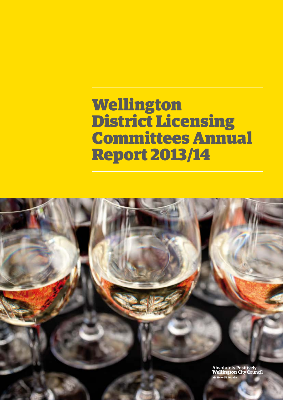# Wellington District Licensing Committees Annual Report 2013/14

Absolutely Positively<br>**Wellington** City Council Heke Ki Põnek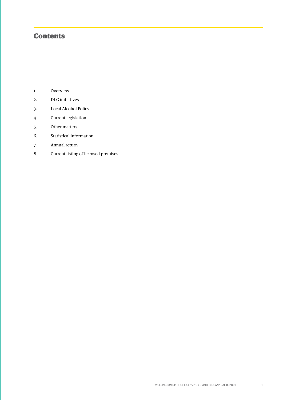# **Contents**

- 1. Overview
- 2. DLC initiatives
- 3. Local Alcohol Policy
- 4. Current legislation
- 5. Other matters
- 6. Statistical information
- 7. Annual return
- 8. Current listing of licensed premises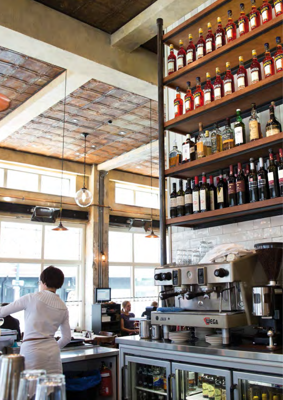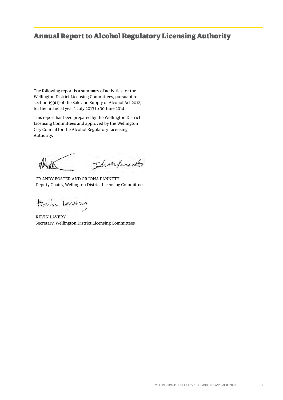# Annual Report to Alcohol Regulatory Licensing Authority

The following report is a summary of activities for the Wellington District Licensing Committees, pursuant to section 199(1) of the Sale and Supply of Alcohol Act 2012, for the financial year 1 July 2013 to 30 June 2014.

This report has been prepared by the Wellington District Licensing Committees and approved by the Wellington City Council for the Alcohol Regulatory Licensing Authority.

Thompsmeth

CR ANDY FOSTER AND CR IONA PANNETT Deputy Chairs, Wellington District Licensing Committees

term Lowery

KEVIN LAVERY Secretary, Wellington District Licensing Committees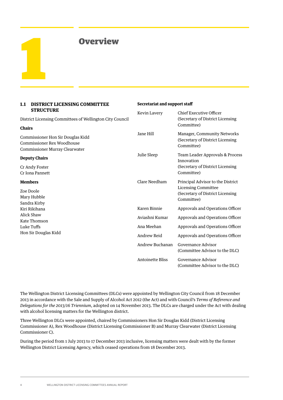# Overview<br>
2 Overview<br>
2 Overview<br>
2 Overview<br>
2 Overview<br>
2 Overview<br>
2 Overview<br>
2 Overview<br>
2 Overview<br>
2 Overview<br>
2 Overview<br>
2 Overview<br>
2 Overview<br>
2 Overview<br>
2 Overview<br>
2 Overview<br>
2 Overview<br>
2 Overview<br>
2 Overvi

# **1.1 DISTRICT LICENSING COMMITTEE STRUCTURE**

District Licensing Committees of Wellington City Council

## **Chairs**

Commissioner Hon Sir Douglas Kidd Commissioner Rex Woodhouse Commissioner Murray Clearwater

## **Deputy Chairs**

Cr Andy Foster Cr Iona Pannett

## **Members**

Zoe Doole Mary Hubble Sandra Kirby Kiri Rikihana Alick Shaw Kate Thomson Luke Tuffs Hon Sir Douglas Kidd

# **Secretariat and support staff**

| Kevin Lavery            | Chief Executive Officer<br>(Secretary of District Licensing<br>Committee)                                         |
|-------------------------|-------------------------------------------------------------------------------------------------------------------|
| Jane Hill               | Manager, Community Networks<br>(Secretary of District Licensing<br>Committee)                                     |
| Julie Sleep             | Team Leader Approvals & Process<br>Innovation<br>(Secretary of District Licensing<br>Committee)                   |
| Clare Needham           | Principal Advisor to the District<br><b>Licensing Committee</b><br>(Secretary of District Licensing<br>Committee) |
| Karen Binnie            | Approvals and Operations Officer                                                                                  |
| Aviashni Kumar          | Approvals and Operations Officer                                                                                  |
| Ana Meehan              | Approvals and Operations Officer                                                                                  |
| Andrew Reid             | Approvals and Operations Officer                                                                                  |
| Andrew Buchanan         | Governance Advisor<br>(Committee Advisor to the DLC)                                                              |
| <b>Antoinette Bliss</b> | Governance Advisor<br>(Committee Advisor to the DLC)                                                              |

The Wellington District Licensing Committees (DLCs) were appointed by Wellington City Council from 18 December 2013 in accordance with the Sale and Supply of Alcohol Act 2012 (the Act) and with Council's *Terms of Reference and Delegations for the 2013/16 Triennium*, adopted on 14 November 2013. The DLCs are charged under the Act with dealing with alcohol licensing matters for the Wellington district.

Three Wellington DLCs were appointed, chaired by Commissioners Hon Sir Douglas Kidd (District Licensing Commissioner A), Rex Woodhouse (District Licensing Commissioner B) and Murray Clearwater (District Licensing Commissioner C).

During the period from 1 July 2013 to 17 December 2013 inclusive, licensing matters were dealt with by the former Wellington District Licensing Agency, which ceased operations from 18 December 2013.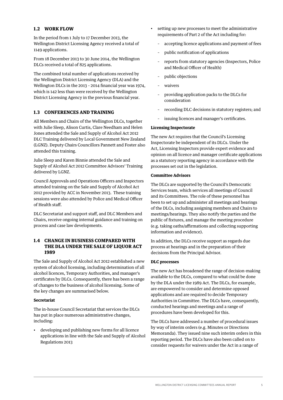# **1.2 WORK FLOW**

In the period from 1 July to 17 December 2013, the Wellington District Licensing Agency received a total of 1149 applications.

From 18 December 2013 to 30 June 2014, the Wellington DLCs received a total of 825 applications.

The combined total number of applications received by the Wellington District Licensing Agency (DLA) and the Wellington DLCs in the 2013 – 2014 financial year was 1974, which is 142 less than were received by the Wellington District Licensing Agency in the previous financial year.

# **1.3 CONFERENCES AND TRAINING**

All Members and Chairs of the Wellington DLCs, together with Julie Sleep, Alison Curtis, Clare Needham and Helen Jones attended the Sale and Supply of Alcohol Act 2012 DLC Training delivered by Local Government New Zealand (LGNZ). Deputy Chairs Councillors Pannett and Foster also attended this training.

Julie Sleep and Karen Binnie attended the Sale and Supply of Alcohol Act 2012 Committee Advisors' Training delivered by LGNZ.

Council Approvals and Operations Officers and Inspectors attended training on the Sale and Supply of Alcohol Act 2012 provided by ACC in November 2013. These training sessions were also attended by Police and Medical Officer of Health staff.

DLC Secretariat and support staff, and DLC Members and Chairs, receive ongoing internal guidance and training on process and case law developments.

# **1.4 CHANGE IN BUSINESS COMPARED WITH THE DLA UNDER THE SALE OF LIQUOR ACT 1989**

The Sale and Supply of Alcohol Act 2012 established a new system of alcohol licensing, including determination of all alcohol licences, Temporary Authorities, and manager's certificates by DLCs. Consequently, there has been a range of changes to the business of alcohol licensing. Some of the key changes are summarised below.

# **Secretariat**

The in-house Council Secretariat that services the DLCs has put in place numerous administrative changes, including:

• developing and publishing new forms for all licence applications in line with the Sale and Supply of Alcohol Regulations 2013

- setting up new processes to meet the administrative requirements of Part 2 of the Act including for:
	- accepting licence applications and payment of fees
	- public notification of applications
	- reports from statutory agencies (Inspectors, Police and Medical Officer of Health)
	- public objections
	- waivers
	- providing application packs to the DLCs for consideration
	- recording DLC decisions in statutory registers; and
	- issuing licences and manager's certificates.

# **Licensing Inspectorate**

The new Act requires that the Council's Licensing Inspectorate be independent of its DLCs. Under the Act, Licensing Inspectors provide expert evidence and opinion on all licence and manager certificate applications as a statutory reporting agency in accordance with the processes set out in the legislation.

# **Committee Advisors**

The DLCs are supported by the Council's Democratic Services team, which services all meetings of Council and its Committees. The role of these personnel has been to set up and administer all meetings and hearings of the DLCs, including assigning members and Chairs to meetings/hearings. They also notify the parties and the public of fixtures, and manage the meeting procedure (e.g. taking oaths/affirmations and collecting supporting information and evidence).

In addition, the DLCs receive support as regards due process at hearings and in the preparation of their decisions from the Principal Advisor.

# **DLC processes**

The new Act has broadened the range of decision-making available to the DLCs, compared to what could be done by the DLA under the 1989 Act. The DLCs, for example, are empowered to consider and determine opposed applications and are required to decide Temporary Authorities in Committee. The DLCs have, consequently, conducted hearings and meetings and a range of procedures have been developed for this.

The DLCs have addressed a number of procedural issues by way of interim orders (e.g. Minutes or Directions Memoranda). They issued nine such interim orders in this reporting period. The DLCs have also been called on to consider requests for waivers under the Act in a range of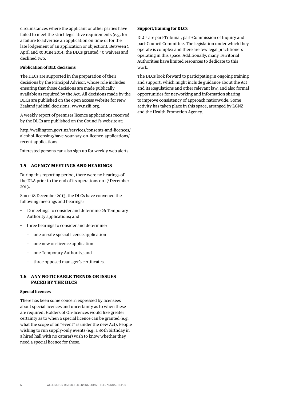circumstances where the applicant or other parties have failed to meet the strict legislative requirements (e.g. for a failure to advertise an application on time or for the late lodgement of an application or objection). Between 1 April and 30 June 2014, the DLCs granted 40 waivers and declined two.

# **Publication of DLC decisions**

The DLCs are supported in the preparation of their decisions by the Principal Advisor, whose role includes ensuring that those decisions are made publically available as required by the Act. All decisions made by the DLCs are published on the open access website for New Zealand judicial decisions: www.nzlii.org.

A weekly report of premises licence applications received by the DLCs are published on the Council's website at:

http://wellington.govt.nz/services/consents-and-licences/ alcohol-licensing/have-your-say-on-licence-applications/ recent-applications

Interested persons can also sign up for weekly web alerts.

# **1.5 AGENCY MEETINGS AND HEARINGS**

During this reporting period, there were no hearings of the DLA prior to the end of its operations on 17 December 2013.

Since 18 December 2013, the DLCs have convened the following meetings and hearings:

- 12 meetings to consider and determine 26 Temporary Authority applications; and
- three hearings to consider and determine:
	- one on-site special licence application
	- one new on-licence application
	- one Temporary Authority; and
	- three opposed manager's certificates.

# **1.6 ANY NOTICEABLE TRENDS OR ISSUES FACED BY THE DLCS**

## **Special licences**

There has been some concern expressed by licensees about special licences and uncertainty as to when these are required. Holders of On-licences would like greater certainty as to when a special licence can be granted (e.g. what the scope of an "event" is under the new Act). People wishing to run supply-only events (e.g. a 40th birthday in a hired hall with no caterer) wish to know whether they need a special licence for these.

### **Support/training for DLCs**

DLCs are part-Tribunal, part-Commission of Inquiry and part-Council Committee. The legislation under which they operate is complex and there are few legal practitioners operating in this space. Additionally, many Territorial Authorities have limited resources to dedicate to this work.

The DLCs look forward to participating in ongoing training and support, which might include guidance about the Act and its Regulations and other relevant law, and also formal opportunities for networking and information sharing to improve consistency of approach nationwide. Some activity has taken place in this space, arranged by LGNZ and the Health Promotion Agency.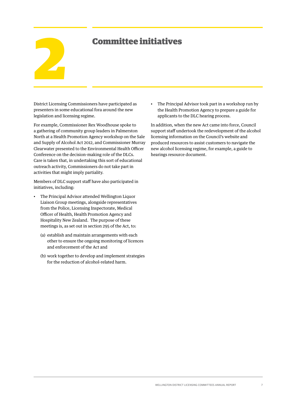# **2 Committee initiatives**

District Licensing Commissioners have participated as presenters in some educational fora around the new legislation and licensing regime.

For example, Commissioner Rex Woodhouse spoke to a gathering of community group leaders in Palmerston North at a Health Promotion Agency workshop on the Sale and Supply of Alcohol Act 2012, and Commissioner Murray Clearwater presented to the Environmental Health Officer Conference on the decision-making role of the DLCs. Care is taken that, in undertaking this sort of educational outreach activity, Commissioners do not take part in activities that might imply partiality.

Members of DLC support staff have also participated in initiatives, including:

- The Principal Advisor attended Wellington Liquor Liaison Group meetings, alongside representatives from the Police, Licensing Inspectorate, Medical Officer of Health, Health Promotion Agency and Hospitality New Zealand. The purpose of these meetings is, as set out in section 295 of the Act, to:
	- (a) establish and maintain arrangements with each other to ensure the ongoing monitoring of licences and enforcement of the Act and
	- (b) work together to develop and implement strategies for the reduction of alcohol-related harm.

• The Principal Advisor took part in a workshop run by the Health Promotion Agency to prepare a guide for applicants to the DLC hearing process.

In addition, when the new Act came into force, Council support staff undertook the redevelopment of the alcohol licensing information on the Council's website and produced resources to assist customers to navigate the new alcohol licensing regime, for example, a guide to hearings resource document.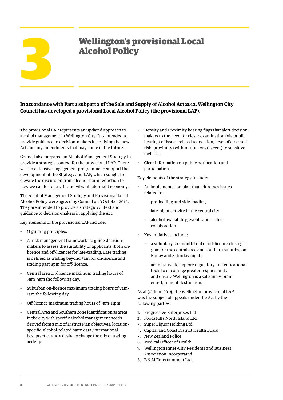# Wellington's provisional Local<br>Alcohol Policy<br>
Provisional Local Alcohol Policy

# **In accordance with Part 2 subpart 2 of the Sale and Supply of Alcohol Act 2012, Wellington City Council has developed a provisional Local Alcohol Policy (the provisional LAP).**

The provisional LAP represents an updated approach to alcohol management in Wellington City. It is intended to provide guidance to decision-makers in applying the new Act and any amendments that may come in the future.

Council also prepared an Alcohol Management Strategy to provide a strategic context for the provisional LAP. There was an extensive engagement programme to support the development of the Strategy and LAP, which sought to elevate the discussion from alcohol-harm reduction to how we can foster a safe and vibrant late-night economy.

The Alcohol Management Strategy and Provisional Local Alcohol Policy were agreed by Council on 3 October 2013. They are intended to provide a strategic context and guidance to decision-makers in applying the Act.

Key elements of the provisional LAP include:

- 11 guiding principles.
- A 'risk management framework' to guide decisionmakers to assess the suitability of applicants (both onlicence and off-licence) for late-trading. Late trading is defined as trading beyond 3am for on-licence and trading past 8pm for off-licence.
- Central area on-licence maximum trading hours of 7am–5am the following day.
- Suburban on-licence maximum trading hours of 7am-1am the following day.
- Off-licence maximum trading hours of 7am-11pm.
- Central Area and Southern Zone identification as areas in the city with specific alcohol management needs derived from a mix of District Plan objectives; locationspecific, alcohol-related harm data; international best practice and a desire to change the mix of trading activity.
- Density and Proximity hearing flags that alert decisionmakers to the need for closer examination (via public hearing) of issues related to location, level of assessed risk, proximity (within 100m or adjacent) to sensitive facilities.
- Clear information on public notification and participation.

Key elements of the strategy include:

- An implementation plan that addresses issues related to:
	- pre-loading and side-loading
	- late-night activity in the central city
	- alcohol availability, events and sector collaboration.
	- Key initiatives include:
		- a voluntary six-month trial of off-licence closing at 9pm for the central area and southern suburbs, on Friday and Saturday nights
		- an initiative to explore regulatory and educational tools to encourage greater responsibility and ensure Wellington is a safe and vibrant entertainment destination.

As at 30 June 2014, the Wellington provisional LAP was the subject of appeals under the Act by the following parties:

- 1. Progressive Enterprises Ltd
- 2. Foodstuffs North Island Ltd
- 3. Super Liquor Holding Ltd
- 4. Capital and Coast District Health Board
- 5. New Zealand Police
- 6. Medical Officer of Health
- 7. Wellington Inner-City Residents and Business Association Incorporated
- 8. B & M Entertainment Ltd.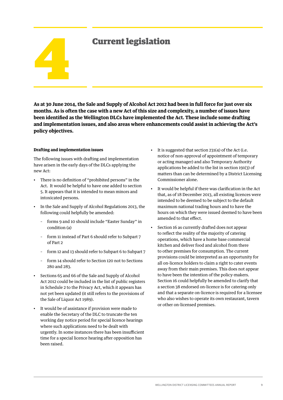# **Current legislation**

**As at 30 June 2014, the Sale and Supply of Alcohol Act 2012 had been in full force for just over six months. As is often the case with a new Act of this size and complexity, a number of issues have been identified as the Wellington DLCs have implemented the Act. These include some drafting and implementation issues, and also areas where enhancements could assist in achieving the Act's policy objectives.**

# **Drafting and implementation issues**

The following issues with drafting and implementation have arisen in the early days of the DLCs applying the new Act:

- There is no definition of "prohibited persons" in the Act. It would be helpful to have one added to section 5. It appears that it is intended to mean minors and intoxicated persons.
- In the Sale and Supply of Alcohol Regulations 2013, the following could helpfully be amended:
	- forms 9 and 10 should include "Easter Sunday" in condition (a)
	- form 11 instead of Part 6 should refer to Subpart 7 of Part 2
	- form 12 and 13 should refer to Subpart 6 to Subpart 7
	- form 14 should refer to Section 120 not to Sections 280 and 283.
- Sections 65 and 66 of the Sale and Supply of Alcohol Act 2012 could be included in the list of public registers in Schedule 2 to the Privacy Act, which it appears has not yet been updated (it still refers to the provisions of the Sale of Liquor Act 1989).
- It would be of assistance if provision were made to enable the Secretary of the DLC to truncate the ten working day notice period for special licence hearings where such applications need to be dealt with urgently. In some instances there has been insufficient time for a special licence hearing after opposition has been raised.
- It is suggested that section  $231(4)$  of the Act (i.e. notice of non-approval of appointment of temporary or acting manager) and also Temporary Authority applications be added to the list in section 191(3) of matters than can be determined by a District Licensing Commissioner alone.
- It would be helpful if there was clarification in the Act that, as of 18 December 2013, all existing licences were intended to be deemed to be subject to the default maximum national trading hours and to have the hours on which they were issued deemed to have been amended to that effect.
- Section 16 as currently drafted does not appear to reflect the reality of the majority of catering operations, which have a home base commercial kitchen and deliver food and alcohol from there to other premises for consumption. The current provisions could be interpreted as an opportunity for all on-licence holders to claim a right to cater events away from their main premises. This does not appear to have been the intention of the policy-makers. Section 16 could helpfully be amended to clarify that a section 38 endorsed on-licence is for catering only and that a separate on-licence is required for a licensee who also wishes to operate its own restaurant, tavern or other on-licensed premises.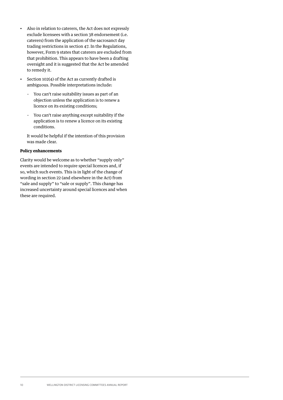- Also in relation to caterers, the Act does not expressly exclude licensees with a section 38 endorsement (i.e. caterers) from the application of the sacrosanct day trading restrictions in section 47. In the Regulations, however, Form 9 states that caterers are excluded from that prohibition. This appears to have been a drafting oversight and it is suggested that the Act be amended to remedy it.
- Section 102(4) of the Act as currently drafted is ambiguous. Possible interpretations include:
	- You can't raise suitability issues as part of an objection unless the application is to renew a licence on its existing conditions;
	- You can't raise anything except suitability if the application is to renew a licence on its existing conditions.

It would be helpful if the intention of this provision was made clear.

# **Policy enhancements**

Clarity would be welcome as to whether "supply only" events are intended to require special licences and, if so, which such events. This is in light of the change of wording in section 22 (and elsewhere in the Act) from "sale and supply" to "sale or supply". This change has increased uncertainty around special licences and when these are required.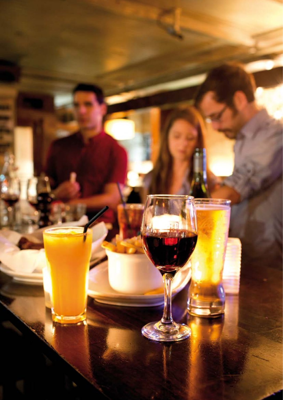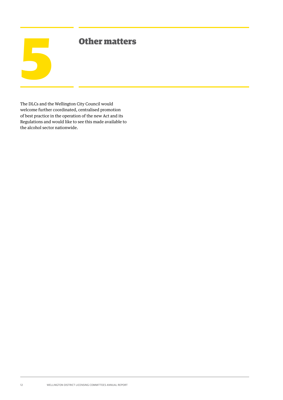# Other matters

The DLCs and the Wellington City Council would welcome further coordinated, centralised promotion of best practice in the operation of the new Act and its Regulations and would like to see this made available to the alcohol sector nationwide.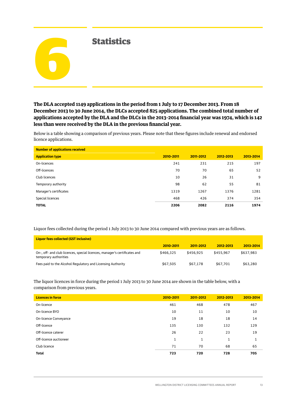# Statistics<br>
Contractor Contractor

**The DLA accepted 1149 applications in the period from 1 July to 17 December 2013. From 18 December 2013 to 30 June 2014, the DLCs accepted 825 applications. The combined total number of applications accepted by the DLA and the DLCs in the 2013–2014 financial year was 1974, which is 142 less than were received by the DLA in the previous financial year.** 

Below is a table showing a comparison of previous years. Please note that these figures include renewal and endorsed licence applications.

| <b>Number of applications received</b> |           |           |           |           |
|----------------------------------------|-----------|-----------|-----------|-----------|
| <b>Application type</b>                | 2010-2011 | 2011-2012 | 2012-2013 | 2013-2014 |
| On-licences                            | 241       | 231       | 215       | 197       |
| Off-licences                           | 70        | 70        | 65        | 52        |
| Club licences                          | 10        | 26        | 31        | 9         |
| Temporary authority                    | 98        | 62        | 55        | 81        |
| Manager's certificates                 | 1319      | 1267      | 1376      | 1281      |
| Special licences                       | 468       | 426       | 374       | 354       |
| <b>TOTAL</b>                           | 2206      | 2082      | 2116      | 1974      |

Liquor fees collected during the period 1 July 2013 to 30 June 2014 compared with previous years are as follows.

| <b>Liquor fees collected (GST inclusive)</b>                                                       |           |           |           |           |  |
|----------------------------------------------------------------------------------------------------|-----------|-----------|-----------|-----------|--|
|                                                                                                    | 2010-2011 | 2011-2012 | 2012-2013 | 2013-2014 |  |
| On-, off- and club licences, special licences, manager's certificates and<br>temporary authorities | \$466.325 | \$456.925 | \$455.967 | \$637.983 |  |
| Fees paid to the Alcohol Regulatory and Licensing Authority                                        | \$67.505  | \$67.178  | \$67.701  | \$63,280  |  |

The liquor licences in force during the period 1 July 2013 to 30 June 2014 are shown in the table below, with a comparison from previous years.

| <b>Licences in force</b> | 2010-2011    | 2011-2012    | 2012-2013 | 2013-2014 |
|--------------------------|--------------|--------------|-----------|-----------|
| On-licence               | 461          | 468          | 478       | 467       |
| On-licence BYO           | 10           | 11           | 10        | 10        |
| On-licence Conveyance    | 19           | 18           | 18        | 14        |
| Off-licence              | 135          | 130          | 132       | 129       |
| Off-licence caterer      | 26           | 22           | 23        | 19        |
| Off-licence auctioneer   | $\mathbf{1}$ | $\mathbf{1}$ | 1         | 1         |
| Club licence             | 71           | 70           | 68        | 65        |
| <b>Total</b>             | 723          | 720          | 728       | 705       |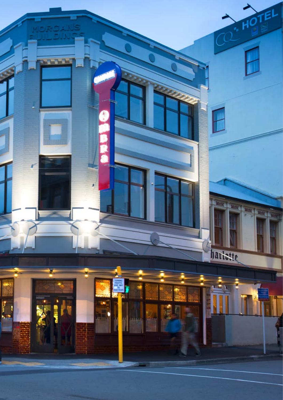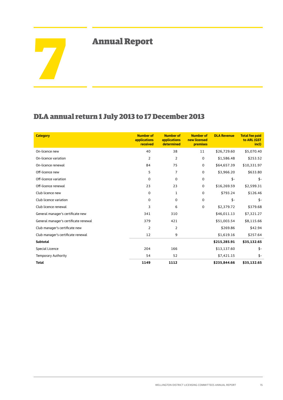# 7 Annual Report

# DLA annual return 1 July 2013 to 17 December 2013

| <b>Category</b>                       | <b>Number of</b><br>applications<br><b>received</b> | <b>Number of</b><br>applications<br>determined | <b>Number of</b><br>new licensed<br>premises | <b>DLA Revenue</b> | <b>Total fee paid</b><br>to ARL (GST<br>incl) |
|---------------------------------------|-----------------------------------------------------|------------------------------------------------|----------------------------------------------|--------------------|-----------------------------------------------|
| On-licence new                        | 40                                                  | 38                                             | 11                                           | \$26,729.60        | \$5,070.40                                    |
| On-licence variation                  | $\overline{2}$                                      | 2                                              | 0                                            | \$1,586.48         | \$253.52                                      |
| On-licence renewal                    | 84                                                  | 75                                             | $\mathbf 0$                                  | \$64,657.39        | \$10,331.97                                   |
| Off-licence new                       | 5                                                   | 7                                              | $\mathbf 0$                                  | \$3,966.20         | \$633.80                                      |
| Off-licence variation                 | $\Omega$                                            | 0                                              | 0                                            | $$-$               | $$-$                                          |
| Off-licence renewal                   | 23                                                  | 23                                             | 0                                            | \$16,269.59        | \$2,599.31                                    |
| Club licence new                      | $\mathbf 0$                                         | 1                                              | 0                                            | \$793.24           | \$126.46                                      |
| Club licence variation                | $\Omega$                                            | 0                                              | 0                                            | $$-$               | \$-                                           |
| Club licence renewal                  | 3                                                   | 6                                              | 0                                            | \$2,379.72         | \$379.68                                      |
| General manager's certificate new     | 341                                                 | 310                                            |                                              | \$46,011.13        | \$7,321.27                                    |
| General manager's certificate renewal | 379                                                 | 421                                            |                                              | \$51,003.54        | \$8,115.66                                    |
| Club manager's certificate new        | $\overline{2}$                                      | $\overline{2}$                                 |                                              | \$269.86           | \$42.94                                       |
| Club manager's certificate renewal    | 12                                                  | 9                                              |                                              | \$1,619.16         | \$257.64                                      |
| <b>Subtotal</b>                       |                                                     |                                                |                                              | \$215,285.91       | \$35,132.65                                   |
| Special Licence                       | 204                                                 | 166                                            |                                              | \$13,137.60        | $$-$                                          |
| <b>Temporary Authority</b>            | 54                                                  | 52                                             |                                              | \$7,421.15         | $$-$                                          |
| <b>Total</b>                          | 1149                                                | 1112                                           |                                              | \$235,844.66       | \$35,132.65                                   |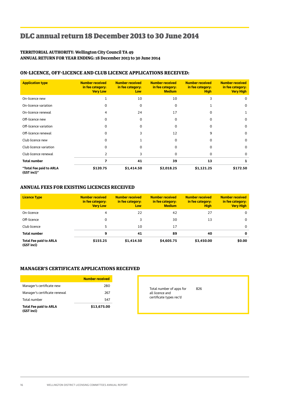# DLC annual return 18 December 2013 to 30 June 2014

# **TERRITORIAL AUTHORITY: Wellington City Council TA 49 ANNUAL RETURN FOR YEAR ENDING: 18 December 2013 to 30 June 2014**

# **ON-LICENCE, OFF-LICENCE AND CLUB LICENCE APPLICATIONS RECEIVED:**

| <b>Application type</b>                | <b>Number received</b><br>in fee category:<br><b>Very Low</b> | <b>Number received</b><br>in fee category:<br>Low | <b>Number received</b><br>in fee category:<br><b>Medium</b> | <b>Number received</b><br>in fee category:<br><b>High</b> | <b>Number received</b><br>in fee category:<br><b>Very High</b> |
|----------------------------------------|---------------------------------------------------------------|---------------------------------------------------|-------------------------------------------------------------|-----------------------------------------------------------|----------------------------------------------------------------|
| On-licence new                         |                                                               | 10                                                | 10                                                          |                                                           | O                                                              |
| On-licence variation                   |                                                               | 0                                                 | O                                                           |                                                           | 0                                                              |
| On-licence renewal                     | 4                                                             | 24                                                | 17                                                          | n                                                         |                                                                |
| Off-licence new                        | 0                                                             | 0                                                 | 0                                                           |                                                           | 0                                                              |
| Off-licence variation                  | <sup>n</sup>                                                  | 0                                                 | O                                                           | o                                                         | 0                                                              |
| Off-licence renewal                    | U                                                             |                                                   | 12                                                          | 9                                                         | 0                                                              |
| Club licence new                       | U                                                             |                                                   | 0                                                           | O                                                         | $\Omega$                                                       |
| Club licence variation                 | 0                                                             | O                                                 | 0                                                           | ŋ                                                         | 0                                                              |
| Club licence renewal                   |                                                               |                                                   | <sup>0</sup>                                                | 0                                                         | 0                                                              |
| <b>Total number</b>                    | 7                                                             | 41                                                | 39                                                          | 13                                                        | 1                                                              |
| "Total Fee paid to ARLA<br>(GST incl)" | \$120.75                                                      | \$1,414.50                                        | \$2,018.25                                                  | \$1,121.25                                                | \$172.50                                                       |

# **ANNUAL FEES FOR EXISTING LICENCES RECEIVED**

| <b>Licence Type</b>                         | <b>Number received</b><br>in fee category:<br><b>Very Low</b> | <b>Number received</b><br>in fee category:<br>Low | <b>Number received</b><br>in fee category:<br><b>Medium</b> | <b>Number received</b><br>in fee category:<br><b>High</b> | <b>Number received</b><br>in fee category:<br><b>Very High</b> |
|---------------------------------------------|---------------------------------------------------------------|---------------------------------------------------|-------------------------------------------------------------|-----------------------------------------------------------|----------------------------------------------------------------|
| On-licence                                  | 4                                                             | 22                                                | 42                                                          | 27                                                        | 0                                                              |
| Off-licence                                 | 0                                                             |                                                   | 30                                                          | 13                                                        | $\Omega$                                                       |
| Club licence                                | 5                                                             | 10                                                | 17                                                          |                                                           | $\Omega$                                                       |
| <b>Total number</b>                         | 9                                                             | 41                                                | 89                                                          | 40                                                        | 0                                                              |
| <b>Total Fee paid to ARLA</b><br>(GST incl) | \$155.25                                                      | \$1.414.50                                        | \$4,605.75                                                  | \$3,450.00                                                | \$0.00                                                         |

# **MANAGER'S CERTIFICATE APPLICATIONS RECEIVED**

|                                             | <b>Number received</b> |
|---------------------------------------------|------------------------|
| Manager's certificate new                   | 280                    |
| Manager's certificate renewal               | 267                    |
| Total number                                | 547                    |
| <b>Total Fee paid to ARLA</b><br>(GST incl) | \$13.675.00            |

| Total number of apps for<br>all licence and<br>certificate types rec'd | 826 |  |
|------------------------------------------------------------------------|-----|--|
|------------------------------------------------------------------------|-----|--|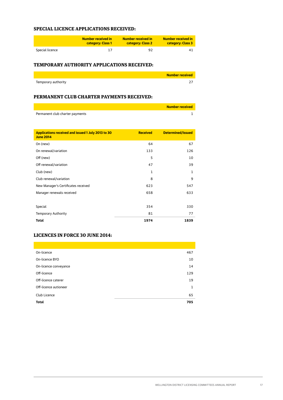# **SPECIAL LICENCE APPLICATIONS RECEIVED:**

|                 | Number received in | <b>Number received in</b> | <b>Number received in</b> |
|-----------------|--------------------|---------------------------|---------------------------|
|                 | category: Class 1  | category: Class 2         | category: Class 3         |
| Special licence |                    | 92                        | 41                        |

# **TEMPORARY AUTHORITY APPLICATIONS RECEIVED:**

|                     | <b>Number received</b> |
|---------------------|------------------------|
| Temporary authority |                        |

# **PERMANENT CLUB CHARTER PAYMENTS RECEIVED:**

|                                 | <b>Number received</b> |
|---------------------------------|------------------------|
| Permanent club charter payments |                        |

| Applications received and issued 1 July 2013 to 30<br><b>June 2014</b> | <b>Received</b> | <b>Determined/Issued</b> |
|------------------------------------------------------------------------|-----------------|--------------------------|
| On (new)                                                               | 64              | 67                       |
| On renewal/variation                                                   | 133             | 126                      |
| Off (new)                                                              | 5               | 10                       |
| Off renewal/variation                                                  | 47              | 39                       |
| Club (new)                                                             | 1               | 1                        |
| Club renewal/variation                                                 | 8               | 9                        |
| New Manager's Certificates received                                    | 623             | 547                      |
| Manager renewals received                                              | 658             | 633                      |
|                                                                        |                 |                          |
| Special                                                                | 354             | 330                      |
| <b>Temporary Authority</b>                                             | 81              | 77                       |
| <b>Total</b>                                                           | 1974            | 1839                     |

# **LICENCES IN FORCE 30 JUNE 2014:**

| On-licence            | 467 |
|-----------------------|-----|
| On-licence BYO        | 10  |
| On-licence conveyance | 14  |
| Off-licence           | 129 |
| Off-licence caterer   | 19  |
| Off-licence autioneer | 1   |
| Club Licence          | 65  |
| <b>Total</b>          | 705 |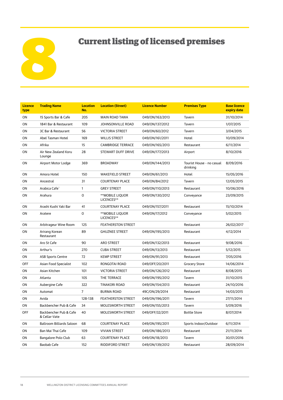

# 8 Current listing of licensed premises

| <b>Licence</b><br>type | <b>Trading Name</b>                     | <b>Location</b><br>No. | <b>Location (Street)</b>      | <b>Licence Number</b> | <b>Premises Type</b>                  | <b>Base licence</b><br>expiry date |
|------------------------|-----------------------------------------|------------------------|-------------------------------|-----------------------|---------------------------------------|------------------------------------|
| ON                     | 15 Sports Bar & Cafe                    | 205                    | <b>MAIN ROAD TAWA</b>         | 049/0N/163/2013       | Tavern                                | 31/10/2014                         |
| ON                     | 1841 Bar & Restaurant                   | 109                    | JOHNSONVILLE ROAD             | 049/0N/137/2012       | Tavern                                | 1/07/2015                          |
| ON                     | 3C Bar & Restaurant                     | 56                     | <b>VICTORIA STREET</b>        | 049/0N/60/2012        | Tavern                                | 3/04/2015                          |
| ON                     | Abel Tasman Hotel                       | 169                    | <b>WILLIS STREET</b>          | 049/0N/161/2011       | Hotel                                 | 10/09/2014                         |
| ON                     | Afrika                                  | 15                     | <b>CAMBRIDGE TERRACE</b>      | 049/0N/165/2013       | Restaurant                            | 6/11/2014                          |
| ON                     | Air New Zealand Koru<br>Lounge          | 28                     | <b>STEWART DUFF DRIVE</b>     | 049/0N/177/2013       | Airport                               | 8/10/2016                          |
| ON                     | Airport Motor Lodge                     | 369                    | <b>BROADWAY</b>               | 049/0N/144/2013       | Tourist House - no casual<br>drinking | 8/09/2016                          |
| ON                     | Amora Hotel                             | 150                    | <b>WAKEFIELD STREET</b>       | 049/0N/61/2013        | Hotel                                 | 15/05/2016                         |
| ON                     | Ancestral                               | 31                     | <b>COURTENAY PLACE</b>        | 049/0N/84/2012        | Tavern                                | 12/05/2015                         |
| ON                     | Arabica Cafe                            | $\mathbf{1}$           | <b>GREY STREET</b>            | 049/0N/110/2013       | Restaurant                            | 10/06/2016                         |
| ON                     | Arahura                                 | $\mathbf 0$            | **MOBILE LIQUOR<br>LICENCES** | 049/0N/130/2012       | Conveyance                            | 23/09/2015                         |
| ON                     | Arashi Kushi Yaki Bar                   | 41                     | <b>COURTENAY PLACE</b>        | 049/0N/157/2011       | Restaurant                            | 15/10/2014                         |
| ON                     | Aratere                                 | $\mathbf 0$            | **MOBILE LIQUOR<br>LICENCES** | 049/0N/17/2012        | Conveyance                            | 5/02/2015                          |
| ON                     | Arbitrageur Wine Room                   | 125                    | <b>FEATHERSTON STREET</b>     |                       | Restaurant                            | 26/02/2017                         |
| ON                     | Arirang Korean<br>Restaurant            | 89                     | <b>GHUZNEE STREET</b>         | 049/0N/195/2013       | Restaurant                            | 4/12/2014                          |
| ON                     | Aro St Cafe                             | 90                     | <b>ARO STREET</b>             | 049/0N/132/2013       | Restaurant                            | 9/08/2016                          |
| ON                     | Arthur's                                | 270                    | <b>CUBA STREET</b>            | 049/0N/13/2013        | Restaurant                            | 5/12/2015                          |
| ON                     | <b>ASB Sports Centre</b>                | 72                     | <b>KEMP STREET</b>            | 049/0N/91/2013        | Restaurant                            | 7/05/2016                          |
| OFF                    | Asian Food Specialist                   | 102                    | RONGOTAI ROAD                 | 049/0FF/20/2011       | <b>Grocery Store</b>                  | 14/06/2014                         |
| ON                     | Asian Kitchen                           | 101                    | <b>VICTORIA STREET</b>        | 049/0N/126/2012       | Restaurant                            | 8/08/2015                          |
| ON                     | Atlanta                                 | 105                    | THE TERRACE                   | 049/0N/195/2012       | Tavern                                | 31/10/2015                         |
| ON                     | Aubergine Cafe                          | 322                    | <b>TINAKORI ROAD</b>          | 049/0N/154/2013       | Restaurant                            | 24/10/2016                         |
| ON                     | Automat                                 | $\overline{7}$         | <b>BURMA ROAD</b>             | 49C/ON/29/2014        | Restaurant                            | 14/03/2015                         |
| ON                     | Avida                                   | 128-138                | <b>FEATHERSTON STREET</b>     | 049/0N/196/2011       | Tavern                                | 27/11/2014                         |
| ON                     | Backbencher Pub & Cafe                  | 34                     | <b>MOLESWORTH STREET</b>      | 049/0N/155/2013       | Tavern                                | 5/09/2016                          |
| <b>OFF</b>             | Backbencher Pub & Cafe<br>& Cellar-Vate | 40                     | <b>MOLESWORTH STREET</b>      | 049/0FF/32/2011       | <b>Bottle Store</b>                   | 8/07/2014                          |
| ON                     | Ballroom Billiards Saloon               | 68                     | <b>COURTENAY PLACE</b>        | 049/0N/195/2011       | Sports Indoor/Outdoor                 | 6/11/2014                          |
| ON                     | Ban Mai Thai Cafe                       | 109                    | <b>VIVIAN STREET</b>          | 049/0N/186/2013       | Restaurant                            | 21/11/2014                         |
| ON                     | Bangalore Polo Club                     | 63                     | <b>COURTENAY PLACE</b>        | 049/0N/18/2013        | Tavern                                | 30/01/2016                         |
| ON                     | Baobab Cafe                             | 152                    | <b>RIDDIFORD STREET</b>       | 049/0N/139/2012       | Restaurant                            | 28/09/2014                         |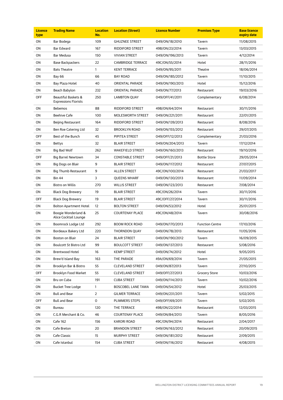| <b>Licence</b><br>type | <b>Trading Name</b>                                | <b>Location</b><br>No. | <b>Location (Street)</b>  | <b>Licence Number</b> | <b>Premises Type</b>   | <b>Base licence</b><br>expiry date |
|------------------------|----------------------------------------------------|------------------------|---------------------------|-----------------------|------------------------|------------------------------------|
| ON                     | Bar Bodega                                         | 109                    | <b>GHUZNEE STREET</b>     | 049/0N/18/2010        | Tavern                 | 11/08/2015                         |
| ON                     | Bar Edward                                         | 167                    | RIDDIFORD STREET          | 49B/ON/23/2014        | Tavern                 | 13/03/2015                         |
| ON                     | Bar Medusa                                         | 150                    | <b>VIVIAN STREET</b>      | 049/0N/196/2013       | Tavern                 | 4/12/2014                          |
| ON                     | <b>Base Backpackers</b>                            | 22                     | <b>CAMBRIDGE TERRACE</b>  | 49C/ON/55/2014        | Hotel                  | 28/11/2016                         |
| ON                     | <b>Bats Theatre</b>                                | 1                      | <b>KENT TERRACE</b>       | 049/0N/95/2011        | Theatre                | 18/06/2014                         |
| ON                     | <b>Bay 66</b>                                      | 66                     | <b>BAY ROAD</b>           | 049/0N/185/2012       | Tavern                 | 11/10/2015                         |
| ON                     | Bay Plaza Hotel                                    | 40                     | <b>ORIENTAL PARADE</b>    | 049/0N/190/2013       | Hotel                  | 15/12/2016                         |
| ON                     | Beach Babylon                                      | 232                    | <b>ORIENTAL PARADE</b>    | 049/0N/77/2013        | Restaurant             | 19/03/2016                         |
| <b>OFF</b>             | Beautiful Baskets &<br><b>Expressions Florists</b> | 250                    | <b>LAMBTON QUAY</b>       | 049/0FF/41/2011       | Complementary          | 6/08/2014                          |
| ON                     | <b>Bebemos</b>                                     | 88                     | RIDDIFORD STREET          | 49B/ON/64/2014        | Restaurant             | 30/11/2016                         |
| ON                     | Beehive Cafe                                       | 100                    | <b>MOLESWORTH STREET</b>  | 049/0N/221/2011       | Restaurant             | 22/01/2015                         |
| ON                     | Beijing Restaurant                                 | 164                    | RIDDIFORD STREET          | 049/0N/139/2013       | Restaurant             | 8/08/2016                          |
| ON                     | Ben Roe Catering Ltd                               | 32                     | <b>BROOKLYN ROAD</b>      | 049/0N/155/2012       | Restaurant             | 29/07/2015                         |
| <b>OFF</b>             | Best of the Bunch                                  | 45                     | PIPITEA STREET            | 049/0FF/12/2013       | Complementary          | 21/03/2016                         |
| ON                     | Bettys                                             | 32                     | <b>BLAIR STREET</b>       | 049/0N/204/2013       | Tavern                 | 17/12/2014                         |
| ON                     | Big Bad Wolf                                       | 262                    | <b>WAKEFIELD STREET</b>   | 049/0N/160/2013       | Restaurant             | 19/10/2016                         |
| OFF                    | Big Barrel Newtown                                 | 34                     | <b>CONSTABLE STREET</b>   | 049/0FF/21/2013       | <b>Bottle Store</b>    | 29/05/2014                         |
| ON                     | Big Dogs on Blair                                  | 9                      | <b>BLAIR STREET</b>       | 049/0N/117/2012       | Restaurant             | 27/07/2015                         |
| ON                     | Big Thumb Restaurant                               | 9                      | <b>ALLEN STREET</b>       | 49C/ON/100/2014       | Restaurant             | 21/03/2017                         |
| ON                     | <b>Bin 44</b>                                      | 3                      | <b>QUEENS WHARF</b>       | 049/0N/130/2013       | Restaurant             | 11/09/2014                         |
| ON                     | Bistro on Willis                                   | 270                    | <b>WILLIS STREET</b>      | 049/0N/123/2013       | Restaurant             | 7/08/2014                          |
| ON                     | <b>Black Dog Brewery</b>                           | 19                     | <b>BLAIR STREET</b>       | 49C/ON/26/2014        | Tavern                 | 30/11/2016                         |
| <b>OFF</b>             | <b>Black Dog Brewery</b>                           | 19                     | <b>BLAIR STREET</b>       | 49C/OFF/27/2014       | Tavern                 | 30/11/2016                         |
| ON                     | Bolton Apartment Hotel                             | 12                     | <b>BOLTON STREET</b>      | 049/0N/53/2012        | Hotel                  | 25/01/2015                         |
| ON                     | Boogie Wonderland &<br>Alice Cocktail Lounge       | 25                     | <b>COURTENAY PLACE</b>    | 49C/ON/48/2014        | Tavern                 | 30/08/2016                         |
| ON                     | Boomrock Lodge Ltd                                 | 292                    | <b>BOOM ROCK ROAD</b>     | 049/0N/170/2013       | <b>Function Centre</b> | 17/10/2016                         |
| ON                     | Bordeaux Bakery Ltd                                | 220                    | <b>THORNDON QUAY</b>      | 049/0N/78/2013        | Restaurant             | 11/05/2016                         |
| ON                     | Boston on Blair                                    | 24                     | <b>BLAIR STREET</b>       | 049/0N/190/2012       | Tavern                 | 16/09/2015                         |
| ON                     | <b>Boulcott St Bistro Ltd</b>                      | 99                     | <b>BOULCOTT STREET</b>    | 049/0N/137/2013       | Restaurant             | 5/08/2016                          |
| ON                     | Brentwood Hotel                                    | 16                     | <b>KEMP STREET</b>        | 049/0N/74/2012        | Hotel                  | 9/05/2015                          |
| ON                     | Brew'd Island Bay                                  | 163                    | THE PARADE                | 49A/ON/69/2014        | Tavern                 | 21/05/2015                         |
| ON                     | Brooklyn Bar & Bistro                              | 55                     | <b>CLEVELAND STREET</b>   | 049/0N/87/2013        | Tavern                 | 27/10/2015                         |
| OFF                    | Brooklyn Food Market                               | 55                     | <b>CLEVELAND STREET</b>   | 049/0FF/27/2013       | <b>Grocery Store</b>   | 10/03/2016                         |
| ON                     | Bru on Cuba                                        | 191                    | <b>CUBA STREET</b>        | 049/0N/114/2013       | Tavern                 | 10/02/2016                         |
| ON                     | <b>Bucket Tree Lodge</b>                           | $\mathbf{1}$           | <b>BOSCOBEL LANE TAWA</b> | 049/0N/54/2012        | Hotel                  | 25/03/2015                         |
| ON                     | <b>Bull and Bear</b>                               | $\overline{2}$         | <b>GILMER TERRACE</b>     | 049/0N/231/2011       | Tavern                 | 5/02/2015                          |
| OFF                    | Bull and Bear                                      | 0                      | PLIMMERS STEPS            | 049/0FF/69/2011       | Tavern                 | 5/02/2015                          |
| ON                     | Bureau                                             | 120                    | THE TERRACE               | 49B/ON/22/2014        | Restaurant             | 12/03/2015                         |
| ON                     | C.G.R Merchant & Co.                               | 46                     | <b>COURTENAY PLACE</b>    | 049/0N/84/2013        | Tavern                 | 8/05/2016                          |
| ON                     | Cafe 162                                           | 156                    | <b>KARORI ROAD</b>        | 49C/ON/94/2014        | Restaurant             | 2/04/2017                          |
| ON                     | Cafe Breton                                        | 20                     | <b>BRANDON STREET</b>     | 049/0N/163/2012       | Restaurant             | 20/09/2015                         |
| ON                     | Cafe Classic                                       | 15                     | <b>MURPHY STREET</b>      | 049/0N/181/2012       | Restaurant             | 2/09/2015                          |
| ON                     | Cafe Istanbul                                      | 154                    | <b>CUBA STREET</b>        | 049/0N/116/2012       | Restaurant             | 4/08/2015                          |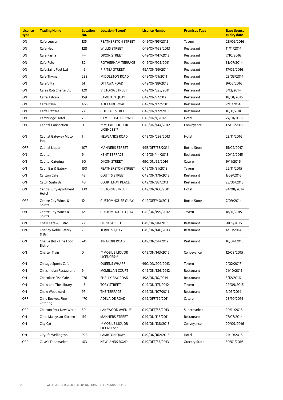| <b>Licence</b><br>type | <b>Trading Name</b>                   | <b>Location</b><br>No. | <b>Location (Street)</b>      | <b>Licence Number</b> | <b>Premises Type</b> | <b>Base licence</b><br>expiry date |
|------------------------|---------------------------------------|------------------------|-------------------------------|-----------------------|----------------------|------------------------------------|
| ON                     | Cafe Leuven                           | 135                    | <b>FEATHERSTON STREET</b>     | 049/0N/95/2013        | Tavern               | 28/06/2016                         |
| ON                     | Cafe Neo                              | 128                    | <b>WILLIS STREET</b>          | 049/0N/168/2013       | Restaurant           | 11/11/2014                         |
| ON                     | Cafe Pasha                            | 44                     | <b>DIXON STREET</b>           | 049/0N/147/2013       | Restaurant           | 7/10/2016                          |
| ON                     | Cafe Polo                             | 82                     | ROTHERHAM TERRACE             | 049/0N/105/2011       | Restaurant           | 31/07/2014                         |
| ON                     | Cafe Saint Paul Ltd                   | 45                     | PIPITEA STREET                | 49A/ON/66/2014        | Restaurant           | 17/09/2016                         |
| ON                     | Cafe Thyme                            | 238                    | <b>MIDDLETON ROAD</b>         | 049/0N/71/2011        | Restaurant           | 23/03/2014                         |
| ON                     | Cafe Villa                            | 61                     | OTTAWA ROAD                   | 049/0N/89/2013        | Restaurant           | 9/06/2016                          |
| ON                     | Cafes Roti Chenai Ltd                 | 120                    | <b>VICTORIA STREET</b>        | 049/0N/225/2011       | Restaurant           | 5/12/2014                          |
| ON                     | Caffe Astoria                         | 159                    | <b>LAMBTON QUAY</b>           | 049/0N/2/2012         | Restaurant           | 18/01/2015                         |
| ON                     | Caffe Italia                          | 465                    | ADELAIDE ROAD                 | 049/0N/177/2011       | Restaurant           | 2/11/2014                          |
| ON                     | Caffe L'affare                        | 27                     | <b>COLLEGE STREET</b>         | 049/0N/172/2013       | Restaurant           | 16/11/2016                         |
| ON                     | Cambridge Hotel                       | 28                     | <b>CAMBRIDGE TERRACE</b>      | 049/0N/1/2012         | Hotel                | 27/01/2015                         |
| ON                     | Capital Connection                    | 0                      | **MOBILE LIQUOR<br>LICENCES** | 049/0N/144/2012       | Conveyance           | 12/08/2015                         |
| ON                     | Capital Gateway Motor<br>Inn          | $\mathbf{1}$           | <b>NEWLANDS ROAD</b>          | 049/0N/293/2013       | Hotel                | 23/11/2016                         |
| OFF                    | Capital Liquor                        | 107                    | <b>MANNERS STREET</b>         | 49B/OFF/58/2014       | <b>Bottle Store</b>  | 15/02/2017                         |
| ON                     | Capitol                               | 9                      | <b>KENT TERRACE</b>           | 049/0N/44/2013        | Restaurant           | 20/12/2015                         |
| ON                     | Capitol Catering                      | 90                     | <b>DIXON STREET</b>           | 49C/ON/65/2014        | Caterer              | 9/11/2016                          |
| ON                     | Capri Bar & Eatery                    | 150                    | <b>FEATHERSTON STREET</b>     | 049/0N/31/2013        | Tavern               | 22/11/2015                         |
| ON                     | Carlton Cafe                          | 43                     | <b>COUTTS STREET</b>          | 049/0N/176/2013       | Restaurant           | 1/09/2016                          |
| ON                     | Catch Sushi Bar                       | 48                     | <b>COURTENAY PLACE</b>        | 049/0N/82/2013        | Restaurant           | 23/05/2016                         |
| ON                     | Central City Apartment<br>Hotel       | 130                    | <b>VICTORIA STREET</b>        | 049/0N/160/2011       | Hotel                | 24/08/2014                         |
| <b>OFF</b>             | Centre City Wines &<br><b>Spirits</b> | 12                     | <b>CUSTOMHOUSE QUAY</b>       | 049/0FF/40/2011       | <b>Bottle Store</b>  | 7/09/2014                          |
| ON                     | Centre City Wines &<br><b>Spirits</b> | 12                     | <b>CUSTOMHOUSE QUAY</b>       | 049/0N/199/2012       | Tavern               | 18/11/2015                         |
| ON                     | Chalk Cafe & Bistro                   | 22                     | <b>HERD STREET</b>            | 049/0N/94/2013        | Restaurant           | 9/05/2016                          |
| ON                     | Charley Noble Eatery<br>& Bar         | 2                      | <b>JERVOIS QUAY</b>           | 049/0N/146/2013       | Restaurant           | 4/10/2014                          |
| ON                     | Charlie Bill - Fine Food<br>Bistro    | 241                    | TINAKORI ROAD                 | 049/0N/64/2012        | Restaurant           | 16/04/2015                         |
| ON                     | Charter Train                         | $\mathsf{O}\xspace$    | **MOBILE LIQUOR<br>LICENCES** | 049/0N/143/2012       | Conveyance           | 12/08/2015                         |
| ON                     | Chicago Sports Cafe                   | 4                      | <b>QUEENS WHARF</b>           | 49C/ON/202/2013       | Tavern               | 2/02/2017                          |
| ON                     | Chilis Indian Restaurant              | 9                      | <b>MCMILLAN COURT</b>         | 049/0N/186/2012       | Restaurant           | 21/10/2015                         |
| ON                     | Chocolate Fish Cafe                   | 276                    | SHELLY BAY ROAD               | 49A/ON/10/2014        | Restaurant           | 3/12/2016                          |
| ON                     | Chow and The Library                  | 45                     | <b>TORY STREET</b>            | 049/0N/171/2012       | Tavern               | 29/09/2015                         |
| ON                     | Chow Woodward                         | 97                     | THE TERRACE                   | 049/0N/107/2011       | Restaurant           | 7/05/2014                          |
| OFF                    | Chris Boswell Fine<br>Catering        | 470                    | ADELAIDE ROAD                 | 049/0FF/52/2011       | Caterer              | 28/10/2014                         |
| OFF                    | Churton Park New World                | 69                     | LAKEWOOD AVENUE               | 049/0FF/53/2013       | Supermarket          | 20/11/2016                         |
| ON                     | Cinta Malaysian Kitchen               | 119                    | <b>MANNERS STREET</b>         | 049/0N/116/2011       | Restaurant           | 27/07/2014                         |
| ON                     | City Cat                              |                        | **MOBILE LIQUOR<br>LICENCES** | 049/0N/138/2013       | Conveyance           | 20/09/2016                         |
| ON                     | Citylife Wellington                   | 298                    | <b>LAMBTON QUAY</b>           | 049/0N/162/2013       | Hotel                | 21/10/2016                         |
| OFF                    | Clive's Foodmarket                    | 103                    | <b>NEWLANDS ROAD</b>          | 049/0FF/35/2013       | <b>Grocery Store</b> | 30/01/2016                         |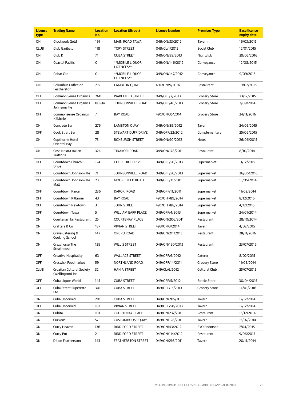| <b>Licence</b><br>type | <b>Trading Name</b>                           | <b>Location</b><br>No. | <b>Location (Street)</b>      | <b>Licence Number</b> | <b>Premises Type</b> | <b>Base licence</b><br>expiry date |
|------------------------|-----------------------------------------------|------------------------|-------------------------------|-----------------------|----------------------|------------------------------------|
| ON                     | Clockwork Gold                                | 191                    | <b>MAIN ROAD TAWA</b>         | 049/0N/33/2012        | Tavern               | 16/03/2015                         |
| <b>CLUB</b>            | Club Garibaldi                                | 118                    | <b>TORY STREET</b>            | 049/CL/1/2012         | Social Club          | 12/01/2015                         |
| ON                     | Club K                                        | 71                     | <b>CUBA STREET</b>            | 049/0N/99/2013        | Nightclub            | 29/05/2016                         |
| ON                     | Coastal Pacific                               | $\mathbf 0$            | **MOBILE LIQUOR<br>LICENCES** | 049/0N/146/2012       | Conveyance           | 12/08/2015                         |
| ON                     | Cobar Cat                                     | $\mathbf 0$            | **MOBILE LIOUOR<br>LICENCES** | 049/0N/147/2012       | Conveyance           | 9/09/2015                          |
| ON                     | Columbus Coffee on<br>Featherston             | 215                    | <b>LAMBTON QUAY</b>           | 49C/ON/9/2014         | Restaurant           | 19/02/2015                         |
| OFF                    | Common Sense Organics                         | 260                    | <b>WAKEFIELD STREET</b>       | 049/0FF/2/2013        | <b>Grocery Store</b> | 23/12/2015                         |
| OFF                    | Common Sense Organics<br>Johnsonville         | 80-94                  | JOHNSONVILLE ROAD             | 049/0FF/46/2013       | <b>Grocery Store</b> | 2/09/2014                          |
| OFF                    | Commonsense Organics<br>Kilbirnie             | 7                      | <b>BAY ROAD</b>               | 49C/ON/35/2014        | <b>Grocery Store</b> | 24/11/2016                         |
| ON                     | Concrete Bar                                  | 276                    | <b>LAMBTON QUAY</b>           | 049/0N/89/2012        | Tavern               | 24/05/2015                         |
| OFF                    | Cook Strait Bar                               | 28                     | <b>STEWART DUFF DRIVE</b>     | 049/0FF/22/2012       | Complementary        | 25/06/2015                         |
| ON                     | Copthorne Hotel<br>Oriental Bay               | 73                     | ROXBURGH STREET               | 049/0N/90/2012        | Hotel                | 26/06/2015                         |
| ON                     | Cosa Nostra Italian<br>Trattoria              | 324                    | TINAKORI ROAD                 | 049/0N/178/2011       | Restaurant           | 8/10/2014                          |
| OFF                    | Countdown Churchill<br>Drive                  | 124                    | <b>CHURCHILL DRIVE</b>        | 049/0FF/56/2013       | Supermarket          | 11/12/2015                         |
| OFF                    | Countdown Johnsonville                        | 71                     | JOHNSONVILLE ROAD             | 049/0FF/50/2013       | Supermarket          | 26/06/2016                         |
| OFF                    | Countdown Johnsonville<br>Mall                | 23                     | <b>MOOREFIELD ROAD</b>        | 049/0FF/31/2011       | Supermarket          | 15/05/2014                         |
| OFF                    | Countdown Karori                              | 236                    | <b>KARORI ROAD</b>            | 049/0FF/11/2011       | Supermarket          | 11/02/2014                         |
| OFF                    | Countdown Kilbirnie                           | 43                     | <b>BAY ROAD</b>               | 49C/OFF/89/2014       | Supermarket          | 8/12/2016                          |
| OFF                    | Countdown Newtown                             | 3                      | <b>JOHN STREET</b>            | 49C/OFF/88/2014       | Supermarket          | 4/12/2016                          |
| OFF                    | Countdown Tawa                                | 5                      | <b>WILLIAM EARP PLACE</b>     | 049/0FF/4/2013        | Supermarket          | 24/01/2014                         |
| ΟN                     | Courtenay Taj Restaurant                      | 25                     | <b>COURTENAY PLACE</b>        | 049/0N/206/2011       | Restaurant           | 28/10/2014                         |
| ON                     | Crafters & Co                                 | 187                    | <b>VIVIAN STREET</b>          | 49B/ON/3/2014         | Tavern               | 4/02/2015                          |
| ON                     | Crave Catering &<br>Cooking School            | 147                    | <b>ONEPU ROAD</b>             | 049/0N/211/2013       | Restaurant           | 28/11/2016                         |
| ON                     | Crazyhorse The<br>Steakhouse                  | 129                    | <b>WILLIS STREET</b>          | 049/0N/120/2013       | Restaurant           | 23/07/2016                         |
| OFF                    | <b>Creative Hospitality</b>                   | 63                     | <b>WALLACE STREET</b>         | 049/0FF/6/2012        | Caterer              | 8/02/2015                          |
| OFF                    | Creswick Foodmarket                           | 59                     | NORTHLAND ROAD                | 049/0FF/14/2011       | <b>Grocery Store</b> | 11/05/2014                         |
| <b>CLUB</b>            | Croatian Cultural Society<br>(Wellington) Inc | 32                     | <b>HANIA STREET</b>           | 049/CL/6/2012         | Cultural Club        | 25/07/2015                         |
| <b>OFF</b>             | Cuba Liquor World                             | 145                    | <b>CUBA STREET</b>            | 049/0FF/5/2012        | <b>Bottle Store</b>  | 30/04/2015                         |
| <b>OFF</b>             | Cuba Street Superette<br>Ltd                  | 301                    | <b>CUBA STREET</b>            | 049/0FF/15/2013       | <b>Grocery Store</b> | 14/01/2016                         |
| ON                     | Cuba Uncorked                                 | 201                    | <b>CUBA STREET</b>            | 049/0N/205/2013       | Tavern               | 17/12/2014                         |
| OFF                    | Cuba Uncorked                                 | 187                    | <b>VIVIAN STREET</b>          | 049/0FF/58/2013       | Tavern               | 17/12/2014                         |
| ON                     | Cubita                                        | 101                    | <b>COURTENAY PLACE</b>        | 049/0N/232/2011       | Restaurant           | 13/12/2014                         |
| ON                     | Cuckoos                                       | 57                     | <b>CUSTOMHOUSE QUAY</b>       | 049/0N/128/2011       | Tavern               | 15/07/2014                         |
| ON                     | Curry Heaven                                  | 136                    | RIDDIFORD STREET              | 049/0N/43/2012        | <b>BYO Endorsed</b>  | 7/04/2015                          |
| ON                     | <b>Curry Pot</b>                              | $\overline{2}$         | RIDDIFORD STREET              | 049/0N/114/2012       | Restaurant           | 9/06/2015                          |
| ON                     | D4 on Featherston                             | 143                    | <b>FEATHERSTON STREET</b>     | 049/0N/216/2011       | Tavern               | 20/11/2014                         |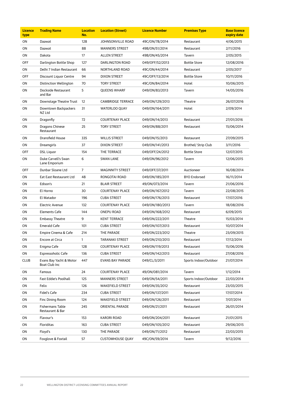| <b>Licence</b><br>type | <b>Trading Name</b>                         | <b>Location</b><br>No. | <b>Location (Street)</b> | <b>Licence Number</b> | <b>Premises Type</b>  | <b>Base licence</b><br>expiry date |
|------------------------|---------------------------------------------|------------------------|--------------------------|-----------------------|-----------------------|------------------------------------|
| ON                     | Daawat                                      | 128                    | JOHNSONVILLE ROAD        | 49C/ON/78/2014        | Restaurant            | 4/06/2015                          |
| ON                     | Daawat                                      | 88                     | <b>MANNERS STREET</b>    | 49B/ON/51/2014        | Restaurant            | 2/11/2016                          |
| ON                     | Dakota                                      | 17                     | <b>ALLEN STREET</b>      | 49B/ON/45/2014        | Tavern                | 2/05/2015                          |
| <b>OFF</b>             | Darlington Bottle Shop                      | 127                    | DARLINGTON ROAD          | 049/0FF/52/2013       | <b>Bottle Store</b>   | 12/08/2016                         |
| ON                     | Delhi 7 Indian Restaurant                   | 66                     | NORTHLAND ROAD           | 49C/ON/44/2014        | Restaurant            | 2/05/2017                          |
| <b>OFF</b>             | Discount Liquor Centre                      | 94                     | <b>DIXON STREET</b>      | 49C/OFF/13/2014       | <b>Bottle Store</b>   | 10/11/2016                         |
| ON                     | Distinction Wellington                      | 70                     | <b>TORY STREET</b>       | 49C/ON/84/2014        | Hotel                 | 10/06/2015                         |
| ON                     | Dockside Restaurant<br>and Bar              | 5                      | <b>OUEENS WHARF</b>      | 049/0N/83/2013        | Tavern                | 14/05/2016                         |
| ON                     | Downstage Theatre Trust                     | 12                     | <b>CAMBRIDGE TERRACE</b> | 049/0N/129/2013       | Theatre               | 26/07/2016                         |
| ON                     | Downtown Backpackers<br>NZ Ltd              | 31                     | <b>WATERLOO QUAY</b>     | 049/0N/164/2011       | Hotel                 | 2/09/2014                          |
| ON                     | Dragonfly                                   | 72                     | <b>COURTENAY PLACE</b>   | 049/0N/14/2013        | Restaurant            | 27/01/2016                         |
| ON                     | Dragons Chinese<br>Restaurant               | 25                     | <b>TORY STREET</b>       | 049/0N/88/2011        | Restaurant            | 15/06/2014                         |
| ON                     | Dransfield House                            | 335                    | <b>WILLIS STREET</b>     | 049/0N/15/2013        | Restaurant            | 27/09/2015                         |
| ON                     | Dreamgirls                                  | 37                     | <b>DIXON STREET</b>      | 049/0N/141/2013       | Brothel/ Strip Club   | 3/11/2016                          |
| <b>OFF</b>             | <b>DSL Liquor</b>                           | 154                    | THE TERRACE              | 049/0FF/24/2012       | <b>Bottle Store</b>   | 12/07/2015                         |
| ON                     | Duke Carvell's Swan<br>Lane Emporium        | 6                      | <b>SWAN LANE</b>         | 049/0N/96/2012        | Tavern                | 12/06/2015                         |
| OFF                    | Dunbar Sloane Ltd                           | $\overline{7}$         | <b>MAGINNITY STREET</b>  | 049/0FF/37/2011       | Auctioneer            | 16/08/2014                         |
| ON                     | Eat East Restaurant Ltd                     | 48                     | RONGOTAI ROAD            | 049/0N/185/2011       | <b>BYO Endorsed</b>   | 16/11/2014                         |
| ON                     | Edison's                                    | 21                     | <b>BLAIR STREET</b>      | 49/0N/073/2014        | Tavern                | 21/06/2016                         |
| ON                     | El Horno                                    | 30                     | <b>COURTENAY PLACE</b>   | 049/0N/167/2012       | Tavern                | 22/08/2015                         |
| ON                     | El Matador                                  | 196                    | <b>CUBA STREET</b>       | 049/0N/176/2013       | Restaurant            | 17/07/2016                         |
| ON                     | <b>Electric Avenue</b>                      | 132                    | <b>COURTENAY PLACE</b>   | 049/0N/180/2013       | Tavern                | 18/08/2016                         |
| ON                     | <b>Elements Cafe</b>                        | 144                    | <b>ONEPU ROAD</b>        | 049/0N/168/2012       | Restaurant            | 6/09/2015                          |
| ON                     | <b>Embassy Theatre</b>                      | 9                      | <b>KENT TERRACE</b>      | 049/0N/222/2011       | Theatre               | 15/03/2014                         |
| ON                     | <b>Emerald Cafe</b>                         | 101                    | <b>CUBA STREET</b>       | 049/0N/107/2013       | Restaurant            | 10/07/2014                         |
| ON                     | Empire Cinema & Cafe                        | 214                    | THE PARADE               | 049/0N/223/2012       | Theatre               | 23/09/2015                         |
| ON                     | Encore at Circa                             |                        | <b>TARANAKI STREET</b>   | 049/0N/210/2013       | Restaurant            | 17/12/2014                         |
| ON                     | Enigma Cafe                                 | 128                    | <b>COURTENAY PLACE</b>   | 049/0N/119/2013       | Restaurant            | 15/06/2016                         |
| ON                     | Espressoholic Cafe                          | 136                    | <b>CUBA STREET</b>       | 049/0N/142/2013       | Restaurant            | 27/08/2016                         |
| <b>CLUB</b>            | Evans Bay Yacht & Motor<br>Boat Club Inc    | 447                    | <b>EVANS BAY PARADE</b>  | 049/CL/3/2011         | Sports Indoor/Outdoor | 21/07/2014                         |
| ON                     | Famous                                      | 24                     | <b>COURTENAY PLACE</b>   | 49/0N/081/2014        | Tavern                | 1/12/2014                          |
| ON                     | Fast Eddie's Poolhall                       | 125                    | <b>MANNERS STREET</b>    | 049/0N/54/2011        | Sports Indoor/Outdoor | 22/03/2014                         |
| ON                     | Felix                                       | 126                    | <b>WAKEFIELD STREET</b>  | 049/0N/35/2012        | Restaurant            | 23/03/2015                         |
| ON                     | Fidel's Cafe                                | 234                    | <b>CUBA STREET</b>       | 049/0N/137/2011       | Restaurant            | 17/07/2014                         |
| ON                     | Finc Dining Room                            | 124                    | <b>WAKEFIELD STREET</b>  | 049/0N/126/2011       | Restaurant            | 7/07/2014                          |
| ON                     | <b>Fishermans Table</b><br>Restaurant & Bar | 245                    | ORIENTAL PARADE          | 049/0N/21/2011        | Restaurant            | 26/01/2014                         |
| ON                     | Flavour's                                   | 153                    | <b>KARORI ROAD</b>       | 049/0N/204/2011       | Restaurant            | 21/01/2015                         |
| ON                     | Floriditas                                  | 163                    | <b>CUBA STREET</b>       | 049/0N/105/2012       | Restaurant            | 29/06/2015                         |
| ON                     | Floyd's                                     | 130                    | THE PARADE               | 049/0N/71/2012        | Restaurant            | 22/03/2015                         |
| ON                     | Foxglove & Foxtail                          | 57                     | <b>CUSTOMHOUSE QUAY</b>  | 49C/ON/59/2014        | Tavern                | 9/12/2016                          |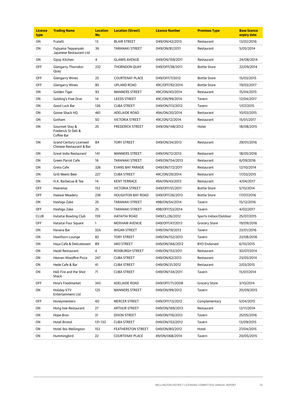| <b>Licence</b><br>type | <b>Trading Name</b>                                       | <b>Location</b><br>No. | <b>Location (Street)</b>  | <b>Licence Number</b> | <b>Premises Type</b>  | <b>Base licence</b><br>expiry date |
|------------------------|-----------------------------------------------------------|------------------------|---------------------------|-----------------------|-----------------------|------------------------------------|
| ON                     | Fratelli                                                  | 13                     | <b>BLAIR STREET</b>       | 049/0N/42/2013        | Restaurant            | 13/02/2016                         |
| ON                     | Fujiyama Teppanyaki<br>Japanese Restaurant Ltd            | 36                     | <b>TARANAKI STREET</b>    | 049/0N/81/2011        | Restaurant            | 5/05/2014                          |
| ON                     | Gipsy Kitchen                                             | $\overline{4}$         | <b>GLAMIS AVENUE</b>      | 049/0N/159/2011       | Restaurant            | 24/08/2014                         |
| OFF                    | Glengarry Thorndon<br>Quay                                | 232                    | <b>THORNDON QUAY</b>      | 049/0FF/38/2011       | <b>Bottle Store</b>   | 22/09/2014                         |
| OFF                    | <b>Glengarry Wines</b>                                    | 25                     | <b>COURTENAY PLACE</b>    | 049/0FF/7/2012        | <b>Bottle Store</b>   | 15/03/2015                         |
| <b>OFF</b>             | <b>Glengarry Wines</b>                                    | 85                     | <b>UPLAND ROAD</b>        | 49C/OFF/92/2014       | <b>Bottle Store</b>   | 19/03/2017                         |
| ON                     | Golden Tiger                                              | 93                     | <b>MANNERS STREET</b>     | 49C/ON/40/2014        | Restaurant            | 15/04/2015                         |
| ON                     | Golding's Free Dive                                       | 14                     | <b>LEEDS STREET</b>       | 49C/ON/99/2014        | Tavern                | 12/04/2017                         |
| ON                     | Good Luck Bar                                             | 126                    | <b>CUBA STREET</b>        | 049/0N/113/2012       | Tavern                | 1/07/2015                          |
| ON                     | Goose Shack HQ                                            | 461                    | ADELAIDE ROAD             | 49A/ON/20/2014        | Restaurant            | 10/03/2015                         |
| ON                     | Gotham                                                    | 50                     | <b>VICTORIA STREET</b>    | 49C/ON/12/2014        | Restaurant            | 15/01/2017                         |
| ON                     | Gourmet Stay &<br>Frederick St Deli &<br>Coffee Bar       | 25                     | <b>FREDERICK STREET</b>   | 049/0N/148/2012       | Hotel                 | 18/08/2015                         |
| ON                     | <b>Grand Century Licensed</b><br>Chinese Restaurant & Bar | 84                     | <b>TORY STREET</b>        | 049/0N/34/2013        | Restaurant            | 29/01/2016                         |
| ON                     | Great India Restaurant                                    | 141                    | <b>MANNERS STREET</b>     | 049/0N/72/2013        | Restaurant            | 18/05/2016                         |
| ON                     | <b>Green Parrot Cafe</b>                                  | 16                     | <b>TARANAKI STREET</b>    | 049/0N/154/2013       | Restaurant            | 6/09/2016                          |
| ON                     | Greta Cafe                                                | 326                    | <b>EVANS BAY PARADE</b>   | 049/0N/172/2011       | Restaurant            | 12/10/2014                         |
| ON                     | Grill Meets Beer                                          | 227                    | <b>CUBA STREET</b>        | 49C/ON/29/2014        | Restaurant            | 17/03/2015                         |
| ON                     | H.K. Barbecue & Tea                                       | 14                     | <b>KENT TERRACE</b>       | 49A/ON/43/2013        | Restaurant            | 4/04/2017                          |
| OFF                    | Haeremai                                                  | 152                    | <b>VICTORIA STREET</b>    | 049/0FF/51/2011       | <b>Bottle Store</b>   | 5/10/2014                          |
| OFF                    | Haewai Meadery                                            | 236                    | <b>HOUGHTON BAY ROAD</b>  | 049/0FF/26/2013       | <b>Bottle Store</b>   | 17/07/2016                         |
| ΟN                     | Hashigo Zake                                              | 25                     | <b>TARANAKI STREET</b>    | 49B/ON/54/2014        | Tavern                | 15/12/2016                         |
| OFF                    | Hashigo Zake                                              | 25                     | <b>TARANAKI STREET</b>    | 49B/OFF/53/2014       | Tavern                | 4/02/2017                          |
| <b>CLUB</b>            | Hataitai Bowling Club                                     | 159                    | <b>HATAITAI ROAD</b>      | 049/CL/26/2012        | Sports Indoor/Outdoor | 25/07/2015                         |
| OFF                    | Hataitai Four Square                                      | 1                      | <b>MOXHAM AVENUE</b>      | 049/0FF/47/2013       | <b>Grocery Store</b>  | 19/09/2016                         |
| ON                     | Havana Bar                                                | 32A                    | <b>WIGAN STREET</b>       | 049/0N/19/2013        | Tavern                | 23/01/2016                         |
| ON                     | Hawthorn Lounge                                           | 82                     | <b>TORY STREET</b>        | 049/0N/152/2013       | Tavern                | 23/08/2016                         |
| ON                     | Haya Cafe & Delicatessen                                  | 89                     | ARO STREET                | 049/0N/166/2012       | <b>BYO Endorsed</b>   | 6/10/2015                          |
| ON                     | Hazel Restaurant                                          | 4                      | ROXBURGH STREET           | 049/0N/153/2011       | Restaurant            | 30/07/2014                         |
| ON                     | Heaven Woodfire Pizza                                     | 247                    | <b>CUBA STREET</b>        | 049/0N/62/2013        | Restaurant            | 23/05/2014                         |
| ON                     | Hede Cafe & Bar                                           | 41                     | <b>CUBA STREET</b>        | 049/0N/31/2012        | Restaurant            | 2/03/2015                          |
| ON                     | Hell Fire and the Shot<br>Shack                           | 71                     | <b>CUBA STREET</b>        | 049/0N/134/2011       | Tavern                | 15/07/2014                         |
| OFF                    | Hina's Foodmarket                                         | 343                    | ADELAIDE ROAD             | 049/0FF/71/2008       | <b>Grocery Store</b>  | 3/10/2014                          |
| ON                     | Holiday KTV<br><b>Entertainment Ltd</b>                   | 125                    | <b>MANNERS STREET</b>     | 049/0N/99/2012        | Tavern                | 20/09/2015                         |
| <b>OFF</b>             | Honeymeisters                                             | 40                     | <b>MERCER STREET</b>      | 049/0FF/13/2012       | Complementary         | 5/04/2015                          |
| ON                     | Hong Kee Restaurant                                       | 27                     | ARTHUR STREET             | 049/0N/169/2013       | Restaurant            | 12/11/2014                         |
| ON                     | Hope Bros                                                 | 31                     | DIXON STREET              | 049/0N/116/2013       | Tavern                | 25/05/2016                         |
| ON                     | Hotel Bristol                                             | 131-133                | <b>CUBA STREET</b>        | 049/0N/153/2012       | Tavern                | 13/09/2015                         |
| ON                     | Hotel Ibis Wellington                                     | 153                    | <b>FEATHERSTON STREET</b> | 049/0N/80/2012        | Hotel                 | 27/04/2015                         |
| ON                     | Hummingbird                                               | 22                     | <b>COURTENAY PLACE</b>    | 49/0N/068/2014        | Tavern                | 20/05/2015                         |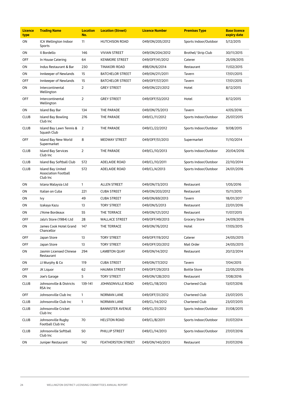| <b>Licence</b><br>type | <b>Trading Name</b>                                                 | <b>Location</b><br>No. | <b>Location (Street)</b>  | <b>Licence Number</b> | <b>Premises Type</b>  | <b>Base licence</b><br>expiry date |
|------------------------|---------------------------------------------------------------------|------------------------|---------------------------|-----------------------|-----------------------|------------------------------------|
| ON                     | ICA Wellington Indoor<br><b>Sports</b>                              | 11                     | <b>HUTCHISON ROAD</b>     | 049/0N/205/2012       | Sports Indoor/Outdoor | 5/12/2015                          |
| ON                     | Il Bordello                                                         | 146                    | <b>VIVIAN STREET</b>      | 049/0N/204/2012       | Brothel/ Strip Club   | 30/11/2015                         |
| <b>OFF</b>             | In House Catering                                                   | 64                     | <b>KENMORE STREET</b>     | 049/0FF/41/2012       | Caterer               | 25/09/2015                         |
| ON                     | Indus Restaurant & Bar                                              | 230                    | TINAKORI ROAD             | 49B/ON/6/2014         | Restaurant            | 11/02/2015                         |
| ON                     | Innkeeper of Newlands                                               | 15                     | <b>BATCHELOR STREET</b>   | 049/0N/211/2011       | Tavern                | 17/01/2015                         |
| <b>OFF</b>             | Innkeeper of Newlands                                               | 15                     | <b>BATCHELOR STREET</b>   | 049/0FF/57/2011       | Tavern                | 17/01/2015                         |
| ON                     | Intercontinental<br>Wellington                                      | $\overline{2}$         | <b>GREY STREET</b>        | 049/0N/221/2012       | Hotel                 | 8/12/2015                          |
| <b>OFF</b>             | Intercontinental<br>Wellington                                      | $\overline{2}$         | <b>GREY STREET</b>        | 049/0FF/53/2012       | Hotel                 | 8/12/2015                          |
| ON                     | Island Bay Bar                                                      | 134                    | THE PARADE                | 049/0N/75/2013        | Tavern                | 4/05/2016                          |
| <b>CLUB</b>            | Island Bay Bowling<br>Club Inc                                      | 276                    | THE PARADE                | 049/CL/11/2012        | Sports Indoor/Outdoor | 25/07/2015                         |
| <b>CLUB</b>            | Island Bay Lawn Tennis &<br>Squash Club                             | 2                      | THE PARADE                | 049/CL/22/2012        | Sports Indoor/Outdoor | 9/08/2015                          |
| <b>OFF</b>             | Island Bay New World<br>Supermarket                                 | 8                      | <b>MEDWAY STREET</b>      | 049/0FF/51/2013       | Supermarket           | 11/10/2014                         |
| <b>CLUB</b>            | <b>Island Bay Services</b><br>Club Inc                              | $\overline{2}$         | THE PARADE                | 049/CL/10/2013        | Sports Indoor/Outdoor | 20/04/2016                         |
| <b>CLUB</b>            | Island Bay Softball Club                                            | 572                    | ADELAIDE ROAD             | 049/CL/10/2011        | Sports Indoor/Outdoor | 22/10/2014                         |
| <b>CLUB</b>            | <b>Island Bay United</b><br><b>Association Football</b><br>Club Inc | 572                    | ADELAIDE ROAD             | 049/CL/4/2013         | Sports Indoor/Outdoor | 24/01/2016                         |
| ON                     | Istana Malaysia Ltd                                                 | 1                      | <b>ALLEN STREET</b>       | 049/0N/73/2013        | Restaurant            | 1/05/2016                          |
| ON                     | Italian on Cuba                                                     | 221                    | <b>CUBA STREET</b>        | 049/0N/203/2012       | Restaurant            | 15/11/2015                         |
| ON                     | Ivy                                                                 | 49                     | <b>CUBA STREET</b>        | 049/0N/69/2013        | Tavern                | 18/01/2017                         |
| ON                     | Izakaya Kazu                                                        | 13                     | <b>TORY STREET</b>        | 049/0N/5/2013         | Restaurant            | 22/01/2016                         |
| ON                     | J'Aime Bordeaux                                                     | 55                     | THE TERRACE               | 049/0N/121/2012       | Restaurant            | 11/07/2015                         |
| <b>OFF</b>             | Jala's Store (1984) Ltd                                             | 28                     | <b>WALLACE STREET</b>     | 049/0FF/49/2013       | <b>Grocery Store</b>  | 24/09/2016                         |
| ON                     | James Cook Hotel Grand<br>Chancellor                                | 147                    | THE TERRACE               | 049/0N/76/2012        | Hotel                 | 17/05/2015                         |
| <b>OFF</b>             | Japan Store                                                         | 13                     | <b>TORY STREET</b>        | 049/0FF/19/2012       | Caterer               | 24/05/2015                         |
| <b>OFF</b>             | Japan Store                                                         | 13                     | <b>TORY STREET</b>        | 049/0FF/20/2012       | Mail Order            | 24/05/2015                         |
| ON                     | Jasmin Licensed Chinese<br>Restaurant                               | 294                    | <b>LAMBTON QUAY</b>       | 049/0N/14/2012        | Restaurant            | 20/12/2014                         |
| ON                     | JJ Murphy & Co                                                      | 119                    | <b>CUBA STREET</b>        | 049/0N/77/2012        | Tavern                | 7/04/2015                          |
| OFF                    | JK Liguor                                                           | 62                     | <b>HAUMIA STREET</b>      | 049/0FF/29/2013       | <b>Bottle Store</b>   | 22/05/2016                         |
| ON                     | Joe's Garage                                                        | 5                      | <b>TORY STREET</b>        | 049/0N/128/2013       | Restaurant            | 7/08/2016                          |
| <b>CLUB</b>            | Johnsonville & Districts<br>RSA Inc                                 | 139-141                | JOHNSONVILLE ROAD         | 049/CL/18/2013        | Chartered Club        | 13/07/2016                         |
| OFF                    | Johnsonville Club Inc                                               | 1                      | <b>NORMAN LANE</b>        | 049/0FF/31/2012       | Chartered Club        | 23/07/2015                         |
| <b>CLUB</b>            | Johnsonville Club Inc                                               | $\mathbf{1}$           | <b>NORMAN LANE</b>        | 049/CL/14/2012        | Chartered Club        | 23/07/2015                         |
| <b>CLUB</b>            | Johnsonville Cricket<br>Club Inc                                    |                        | <b>BANNISTER AVENUE</b>   | 049/CL/31/2012        | Sports Indoor/Outdoor | 31/08/2015                         |
| <b>CLUB</b>            | Johnsonville Rugby<br>Football Club Inc                             | 70                     | <b>HELSTON ROAD</b>       | 049/CL/8/2011         | Sports Indoor/Outdoor | 31/07/2014                         |
| <b>CLUB</b>            | Johnsonville Softball<br>Club Inc                                   | 50                     | PHILLIP STREET            | 049/CL/14/2013        | Sports Indoor/Outdoor | 27/07/2016                         |
| ON                     | Juniper Restaurant                                                  | 142                    | <b>FEATHERSTON STREET</b> | 049/0N/140/2013       | Restaurant            | 31/07/2016                         |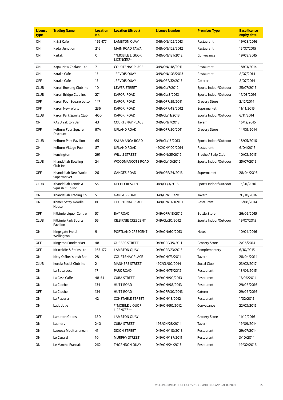| <b>Licence</b><br>type | <b>Trading Name</b>                    | <b>Location</b><br>No. | <b>Location (Street)</b>      | <b>Licence Number</b> | <b>Premises Type</b>  | <b>Base licence</b><br>expiry date |
|------------------------|----------------------------------------|------------------------|-------------------------------|-----------------------|-----------------------|------------------------------------|
| ΟN                     | K & S Cafe                             | 165-177                | <b>LAMBTON QUAY</b>           | 049/0N/125/2013       | Restaurant            | 19/08/2016                         |
| ON                     | Kadai Junction                         | 216                    | <b>MAIN ROAD TAWA</b>         | 049/0N/123/2012       | Restaurant            | 15/07/2015                         |
| ON                     | Kaitaki                                | 0                      | **MOBILE LIQUOR<br>LICENCES** | 049/0N/131/2012       | Conveyance            | 19/08/2015                         |
| ON                     | Kapai New Zealand Ltd                  | 7                      | <b>COURTENAY PLACE</b>        | 049/0N/118/2011       | Restaurant            | 18/03/2014                         |
| ON                     | Karaka Cafe                            | 15                     | <b>JERVOIS QUAY</b>           | 049/0N/103/2013       | Restaurant            | 8/07/2014                          |
| OFF                    | Karaka Cafe                            | 15                     | <b>JERVOIS QUAY</b>           | 049/0FF/32/2013       | Caterer               | 8/07/2014                          |
| <b>CLUB</b>            | Karori Bowling Club Inc                | 10                     | <b>LEWER STREET</b>           | 049/CL/7/2012         | Sports Indoor/Outdoor | 25/07/2015                         |
| <b>CLUB</b>            | Karori Bridge Club Inc                 | 274                    | <b>KARORI ROAD</b>            | 049/CL/8/2013         | Sports Indoor/Outdoor | 17/03/2016                         |
| OFF                    | Karori Four Square Lotto               | 147                    | <b>KARORI ROAD</b>            | 049/0FF/59/2011       | <b>Grocery Store</b>  | 2/12/2014                          |
| OFF                    | Karori New World                       | 236                    | <b>KARORI ROAD</b>            | 049/0FF/48/2012       | Supermarket           | 11/11/2015                         |
| <b>CLUB</b>            | Karori Park Sports Club                | 400                    | <b>KARORI ROAD</b>            | 049/CL/11/2013        | Sports Indoor/Outdoor | 6/11/2014                          |
| ON                     | KAZU Yakitori Bar                      | 43                     | <b>COURTENAY PLACE</b>        | 049/0N/7/2013         | Tavern                | 16/12/2015                         |
| OFF                    | Kelburn Four Square<br>Discount        | 97A                    | UPLAND ROAD                   | 049/0FF/50/2011       | <b>Grocery Store</b>  | 14/09/2014                         |
| <b>CLUB</b>            | Kelburn Park Pavilion                  | 65                     | SALAMANCA ROAD                | 049/CL/13/2013        | Sports Indoor/Outdoor | 18/05/2016                         |
| ON                     | Kelburn Village Pub                    | 87                     | UPLAND ROAD                   | 49C/ON/102/2014       | Restaurant            | 6/04/2017                          |
| ON                     | Kensington                             | 291                    | <b>WILLIS STREET</b>          | 049/0N/25/2012        | Brothel/ Strip Club   | 10/02/2015                         |
| <b>CLUB</b>            | Khandallah Bowling<br>Club Inc         | 24                     | WOODMANCOTE ROAD              | 049/CL/10/2012        | Sports Indoor/Outdoor | 25/07/2015                         |
| OFF                    | Khandallah New World<br>Supermarket    | 26                     | <b>GANGES ROAD</b>            | 049/0FF/24/2013       | Supermarket           | 28/04/2016                         |
| <b>CLUB</b>            | Khandallah Tennis &<br>Squash Club Inc | 55                     | <b>DELHI CRESCENT</b>         | 049/CL/3/2013         | Sports Indoor/Outdoor | 15/01/2016                         |
| ΟN                     | Khandallah Trading Co.                 | 5                      | <b>GANGES ROAD</b>            | 049/0N/151/2013       | Tavern                | 20/10/2016                         |
| ON                     | Khmer Satay Noodle<br>House            | 80                     | <b>COURTENAY PLACE</b>        | 049/0N/140/2011       | Restaurant            | 16/08/2014                         |
| OFF                    | Kilbirnie Liguor Centre                | 57                     | <b>BAY ROAD</b>               | 049/0FF/18/2012       | <b>Bottle Store</b>   | 26/05/2015                         |
| <b>CLUB</b>            | Kilbirnie Park Sports<br>Pavilion      | 55                     | KILBIRNIE CRESCENT            | 049/CL/20/2012        | Sports Indoor/Outdoor | 19/07/2015                         |
| ON                     | Kingsgate Hotel<br>Wellington          | 9                      | PORTLAND CRESCENT             | 049/0N/60/2013        | Hotel                 | 10/04/2016                         |
| <b>OFF</b>             | Kingston Foodmarket                    | 48                     | QUEBEC STREET                 | 049/0FF/39/2011       | <b>Grocery Store</b>  | 2/06/2014                          |
| OFF                    | Kirkcaldie & Stains Ltd                | 165-177                | <b>LAMBTON QUAY</b>           | 049/0FF/23/2013       | Complementary         | 6/10/2015                          |
| ON                     | Kitty O'Shea's Irish Bar               | 28                     | <b>COURTENAY PLACE</b>        | 049/0N/73/2011        | Tavern                | 28/04/2014                         |
| <b>CLUB</b>            | Kordia Social Club Inc                 | $\overline{2}$         | <b>MANNERS STREET</b>         | 49C/CL/80/2014        | Social Club           | 23/02/2017                         |
| ON                     | La Boca Loca                           | 17                     | PARK ROAD                     | 049/0N/75/2012        | Restaurant            | 18/04/2015                         |
| ON                     | La Casa Caffe                          | 48-54                  | <b>CUBA STREET</b>            | 049/0N/90/2013        | Restaurant            | 17/06/2014                         |
| ON                     | La Cloche                              | 134                    | <b>HUTT ROAD</b>              | 049/0N/98/2013        | Restaurant            | 29/06/2016                         |
| OFF                    | La Cloche                              | 134                    | <b>HUTT ROAD</b>              | 049/0FF/30/2013       | Caterer               | 29/06/2016                         |
| ON                     | La Pizzeria                            | 42                     | <b>CONSTABLE STREET</b>       | 049/0N/13/2012        | Restaurant            | 1/02/2015                          |
| ON                     | Lady Julie                             |                        | **MOBILE LIQUOR<br>LICENCES** | 049/0N/50/2012        | Conveyance            | 22/03/2015                         |
| OFF                    | Lambton Goods                          | 180                    | <b>LAMBTON QUAY</b>           |                       | <b>Grocery Store</b>  | 11/12/2016                         |
| ON                     | Laundry                                | 240                    | <b>CUBA STREET</b>            | 49B/ON/28/2014        | Tavern                | 19/09/2014                         |
| ON                     | Lazeeza Mediterranean                  | 41                     | DIXON STREET                  | 049/0N/118/2013       | Restaurant            | 29/07/2014                         |
| ON                     | Le Canard                              | 10                     | <b>MURPHY STREET</b>          | 049/0N/187/2011       | Restaurant            | 3/10/2014                          |
| ON                     | Le Marche Francais                     | 262                    | <b>THORNDON QUAY</b>          | 049/0N/24/2013        | Restaurant            | 19/02/2016                         |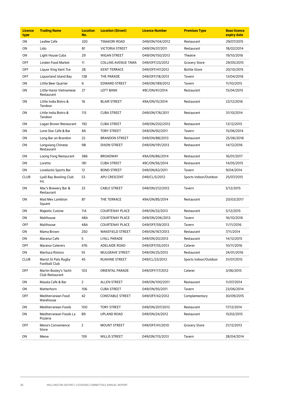| <b>Licence</b><br>type | <b>Trading Name</b>                      | <b>Location</b><br>No. | <b>Location (Street)</b>   | <b>Licence Number</b> | <b>Premises Type</b>  | <b>Base licence</b><br>expiry date |
|------------------------|------------------------------------------|------------------------|----------------------------|-----------------------|-----------------------|------------------------------------|
| ON                     | Leafee Cafe                              | 320                    | <b>TINAKORI ROAD</b>       | 049/0N/104/2012       | Restaurant            | 29/07/2015                         |
| ON                     | Lido                                     | 81                     | <b>VICTORIA STREET</b>     | 049/0N/37/2011        | Restaurant            | 18/02/2014                         |
| ON                     | Light House Cuba                         | 29                     | <b>WIGAN STREET</b>        | 049/0N/150/2013       | Theatre               | 19/10/2016                         |
| <b>OFF</b>             | Linden Food Market                       | 11                     | <b>COLLINS AVENUE TAWA</b> | 049/0FF/23/2012       | <b>Grocery Store</b>  | 29/05/2015                         |
| OFF                    | Liquor King Kent Tce                     | 28                     | <b>KENT TERRACE</b>        | 049/0FF/47/2012       | <b>Bottle Store</b>   | 20/10/2015                         |
| <b>OFF</b>             | Liquorland Island Bay                    | 138                    | THE PARADE                 | 049/0FF/18/2013       | Tavern                | 13/04/2016                         |
| ON                     | Little Beer Quarter                      | 6                      | <b>EDWARD STREET</b>       | 049/0N/189/2012       | Tavern                | 11/10/2015                         |
| ON                     | Little Hanoi Vietnamese<br>Restaurant    | 27                     | <b>LEFT BANK</b>           | 49C/ON/41/2014        | Restaurant            | 15/04/2015                         |
| ON                     | Little India Bistro &<br>Tandoor         | 16                     | <b>BLAIR STREET</b>        | 49A/ON/15/2014        | Restaurant            | 23/12/2016                         |
| ON                     | Little India Bistro &<br>Tandoor         | 115                    | <b>CUBA STREET</b>         | 049/0N/176/2011       | Restaurant            | 31/10/2014                         |
| ON                     | Logan Brown Restaurant                   | 192                    | <b>CUBA STREET</b>         | 049/0N/202/2012       | Restaurant            | 13/12/2015                         |
| ON                     | Lone Star Cafe & Bar                     | 66                     | <b>TORY STREET</b>         | 049/0N/92/2011        | Tavern                | 15/06/2014                         |
| ON                     | Long Bar on Brandon                      | 22                     | <b>BRANDON STREET</b>      | 049/0N/88/2013        | Restaurant            | 25/06/2016                         |
| ON                     | Longxiang Chinese<br>Restaurant          | 98                     | <b>DIXON STREET</b>        | 049/0N/191/2013       | Restaurant            | 14/12/2016                         |
| ON                     | Loong Fong Restaurant                    | 386                    | <b>BROADWAY</b>            | 49A/ON/86/2014        | Restaurant            | 16/01/2017                         |
| ON                     | Loretta                                  | 181                    | <b>CUBA STREET</b>         | 49C/ON/56/2014        | Restaurant            | 14/05/2015                         |
| ON                     | Lovelocks Sports Bar                     | 12                     | <b>BOND STREET</b>         | 049/0N/63/2011        | Tavern                | 9/04/2014                          |
| <b>CLUB</b>            | Lyall Bay Bowling Club<br>Inc            | 53                     | APU CRESCENT               | 049/CL/5/2012         | Sports Indoor/Outdoor | 25/07/2015                         |
| ON                     | Mac's Brewery Bar &<br>Restaurant        | 23                     | <b>CABLE STREET</b>        | 049/0N/212/2012       | Tavern                | 5/12/2015                          |
| ON                     | Mad Mex Lambton<br>Square                | 87                     | THE TERRACE                | 49A/ON/85/2014        | Restaurant            | 20/03/2017                         |
| ON                     | <b>Majestic Cuisine</b>                  | 11A                    | <b>COURTENAY PLACE</b>     | 049/0N/32/2013        | Restaurant            | 5/12/2015                          |
| ON                     | Malthouse                                | 48A                    | <b>COURTENAY PLACE</b>     | 049/0N/206/2013       | Tavern                | 16/10/2016                         |
| <b>OFF</b>             | Malthouse                                | 48A                    | <b>COURTENAY PLACE</b>     | 049/0FF/59/2013       | Tavern                | 11/11/2016                         |
| ON                     | Mama Brown                               | 250                    | <b>WAKEFIELD STREET</b>    | 049/0N/167/2013       | Restaurant            | 7/11/2014                          |
| ON                     | Maranui Cafe                             | 5                      | LYALL PARADE               | 049/0N/20/2013        | Restaurant            | 14/12/2015                         |
| <b>OFF</b>             | Maranui Caterers                         | 476                    | ADELAIDE ROAD              | 049/0FF/55/2013       | Caterer               | 10/11/2016                         |
| ON                     | Mariluca Ristoro                         | 55                     | MULGRAVE STREET            | 049/0N/25/2013        | Restaurant            | 24/01/2016                         |
| <b>CLUB</b>            | Marist St Pats Rugby<br>Football Club    | 45                     | RUAHINE STREET             | 049/CL/23/2012        | Sports Indoor/Outdoor | 31/07/2015                         |
| OFF                    | Martin Bosley's Yacht<br>Club Restaurant | 103                    | ORIENTAL PARADE            | 049/0FF/17/2012       | Caterer               | 3/06/2015                          |
| ON                     | Masala Cafe & Bar                        | $\overline{2}$         | ALLEN STREET               | 049/0N/100/2011       | Restaurant            | 11/07/2014                         |
| ON                     | Matterhorn                               | 106                    | <b>CUBA STREET</b>         | 049/0N/93/2011        | Tavern                | 23/06/2014                         |
| <b>OFF</b>             | Mediterranean Food<br>Warehouse          | 42                     | <b>CONSTABLE STREET</b>    | 049/0FF/42/2012       | Complementary         | 30/09/2015                         |
| ON                     | Mediterranean Foods                      | 100                    | <b>TORY STREET</b>         | 049/0N/207/2013       | Restaurant            | 17/12/2014                         |
| ON                     | Mediterranean Foods La<br>Pizzeria       | 89                     | UPLAND ROAD                | 049/0N/24/2012        | Restaurant            | 15/02/2015                         |
| OFF                    | Mena's Convenience<br>Store              | $\overline{2}$         | <b>MOUNT STREET</b>        | 049/0FF/41/2010       | Grocery Store         | 21/12/2013                         |
| ON                     | Meow                                     | 159                    | <b>WILLIS STREET</b>       | 049/0N/115/2013       | Tavern                | 28/04/2014                         |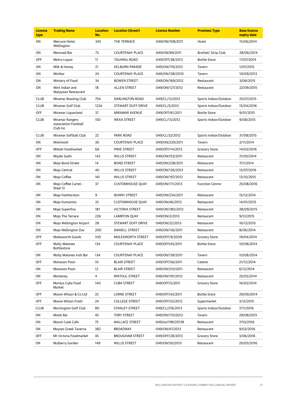| <b>Licence</b><br>type | <b>Trading Name</b>                                        | <b>Location</b><br>No. | <b>Location (Street)</b> | <b>Licence Number</b> | <b>Premises Type</b>   | <b>Base licence</b><br>expiry date |
|------------------------|------------------------------------------------------------|------------------------|--------------------------|-----------------------|------------------------|------------------------------------|
| ON                     | Mercure Hotel<br>Wellington                                | 345                    | THE TERRACE              | 049/0N/108/2011       | Hotel                  | 15/06/2014                         |
| ON                     | Mermaid Bar                                                | 73                     | <b>COURTENAY PLACE</b>   | 049/0N/99/2011        | Brothel/ Strip Club    | 28/06/2014                         |
| OFF                    | Metro Liquor                                               | 11                     | TAUHINU ROAD             | 049/0FF/38/2013       | <b>Bottle Store</b>    | 17/07/2014                         |
| ON                     | Milk & Honey                                               | 21                     | <b>KELBURN PARADE</b>    | 049/0N/119/2012       | Tavern                 | 1/07/2015                          |
| ON                     | Minibar                                                    | 24                     | <b>COURTENAY PLACE</b>   | 049/0N/138/2010       | Tavern                 | 10/09/2013                         |
| ON                     | Ministry of Food                                           | 34                     | <b>BOWEN STREET</b>      | 049/0N/169/2012       | Restaurant             | 3/06/2015                          |
| ON                     | Mint Indian and<br>Malaysian Restaurant                    | 18                     | <b>ALLEN STREET</b>      | 049/0N/127/2012       | Restaurant             | 22/09/2015                         |
| <b>CLUB</b>            | Miramar Bowling Club                                       | 75A                    | DARLINGTON ROAD          | 049/CL/12/2012        | Sports Indoor/Outdoor  | 25/07/2015                         |
| <b>CLUB</b>            | Miramar Golf Club                                          | 123A                   | STEWART DUFF DRIVE       | 049/CL/5/2013         | Sports Indoor/Outdoor  | 15/04/2016                         |
| OFF                    | Miramar Liquorland                                         | 37                     | <b>MIRAMAR AVENUE</b>    | 049/0FF/61/2011       | <b>Bottle Store</b>    | 9/01/2015                          |
| <b>CLUB</b>            | Miramar Rangers<br><b>Association Football</b><br>Club Inc | 150                    | <b>WEKA STREET</b>       | 049/CL/13/2012        | Sports Indoor/Outdoor  | 9/08/2015                          |
| <b>CLUB</b>            | Miramar Softball Club                                      | 22                     | PARK ROAD                | 049/CL/32/2012        | Sports Indoor/Outdoor  | 31/08/2015                         |
| ON                     | Mishmosh                                                   | 30                     | <b>COURTENAY PLACE</b>   | 049/0N/229/2011       | Tavern                 | 2/11/2014                          |
| OFF                    | Mitesh Foodmarket                                          | 66                     | PIRIE STREET             | 049/0FF/14/2013       | <b>Grocery Store</b>   | 14/03/2016                         |
| ON                     | Miyabi Sushi                                               | 142                    | <b>WILLIS STREET</b>     | 049/0N/153/2011       | Restaurant             | 21/05/2014                         |
| ON                     | Mojo Bond Street                                           | 14                     | <b>BOND STREET</b>       | 049/0N/228/2011       | Restaurant             | 7/11/2014                          |
| ON                     | Mojo Central                                               | 40                     | <b>WILLIS STREET</b>     | 049/0N/126/2013       | Restaurant             | 13/07/2016                         |
| ON                     | Mojo Coffee                                                | 161                    | <b>WILLIS STREET</b>     | 049/0N/197/2012       | Restaurant             | 13/10/2015                         |
| ON                     | Mojo Coffee Cartel -<br>Shed 13                            | 37                     | <b>CUSTOMHOUSE QUAY</b>  | 049/0N/171/2013       | <b>Function Centre</b> | 25/08/2016                         |
| ΟN                     | Mojo Featherston                                           | 9                      | <b>BUNNY STREET</b>      | 049/0N/234/2011       | Restaurant             | 15/12/2014                         |
| ΟN                     | Mojo Kumutoto                                              | 33                     | <b>CUSTOMHOUSE QUAY</b>  | 049/0N/46/2012        | Restaurant             | 14/01/2015                         |
| ON                     | Mojo Superfino                                             | 181                    | <b>VICTORIA STREET</b>   | 049/0N/180/2012       | Restaurant             | 28/09/2015                         |
| ON                     | Mojo The Terrace                                           | 226                    | <b>LAMBTON QUAY</b>      | 049/0N/2/2013         | Restaurant             | 9/12/2015                          |
| ON                     | Mojo Wellington Airport                                    | 28                     | STEWART DUFF DRIVE       | 049/0N/22/2013        | Restaurant             | 16/12/2015                         |
| ON                     | Mojo Wellington Zoo                                        | 200                    | DANIELL STREET           | 049/0N/136/2011       | Restaurant             | 8/06/2014                          |
| OFF                    | <b>Molesworth Goods</b>                                    | 100                    | <b>MOLESWORTH STREET</b> | 049/0FF/9/2009        | <b>Grocery Store</b>   | 19/04/2014                         |
| <b>OFF</b>             | <b>Molly Malones</b><br><b>Bottlestore</b>                 | 134                    | <b>COURTENAY PLACE</b>   | 049/0FF/45/2011       | <b>Bottle Store</b>    | 10/08/2014                         |
| ON                     | Molly Malones Irish Bar                                    | 134                    | <b>COURTENAY PLACE</b>   | 049/0N/139/2011       | Tavern                 | 10/08/2014                         |
| OFF                    | Monsoon Poon                                               | 10                     | <b>BLAIR STREET</b>      | 049/0FF/56/2011       | Caterer                | 21/12/2014                         |
| ON                     | Monsoon Poon                                               | 12                     | <b>BLAIR STREET</b>      | 049/0N/210/2011       | Restaurant             | 6/12/2014                          |
| ON                     | Monterey                                                   | 4                      | RINTOUL STREET           | 049/0N/191/2012       | Restaurant             | 25/03/2014                         |
| OFF                    | Montys Cuba Food<br>Market                                 | 140                    | <b>CUBA STREET</b>       | 049/0FF/5/2011        | <b>Grocery Store</b>   | 16/03/2014                         |
| OFF                    | Moore Wilson & Co Ltd                                      | 33                     | <b>LORNE STREET</b>      | 049/0FF/42/2011       | <b>Bottle Store</b>    | 29/09/2014                         |
| <b>OFF</b>             | Moore Wilson Fresh                                         | 24                     | <b>COLLEGE STREET</b>    | 049/0FF/52/2012       | Supermarket            | 3/12/2015                          |
| <b>CLUB</b>            | Mornington Golf Club                                       | 80                     | STANLEY STREET           | 049/CL/376/2013       | Sports Indoor/Outdoor  | 7/11/2016                          |
| ON                     | Motel Bar                                                  | 45                     | <b>TORY STREET</b>       | 049/0N/170/2012       | Tavern                 | 29/08/2015                         |
| ON                     | Mount Cook Cafe                                            | 75                     | <b>WALLACE STREET</b>    | 049/on/199/2013R      | Restaurant             | 7/10/2016                          |
| ON                     | Moyses Greek Taverna                                       | 382                    | <b>BROADWAY</b>          | 049/0N/47/2013        | Restaurant             | 9/03/2016                          |
| OFF                    | Mt Victoria Foodmarket                                     | 45                     | <b>BROUGHAM STREET</b>   | 049/0FF/28/2013       | <b>Grocery Store</b>   | 3/06/2016                          |
| ON                     | Mulberry Garden                                            | 149                    | <b>WILLIS STREET</b>     | 049/0N/50/2013        | Restaurant             | 20/03/2016                         |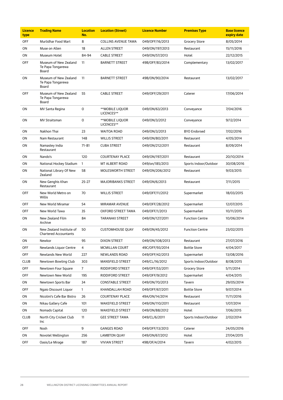| <b>Licence</b><br>type | <b>Trading Name</b>                                      | <b>Location</b><br>No. | <b>Location (Street)</b>      | <b>Licence Number</b> | <b>Premises Type</b>   | <b>Base licence</b><br>expiry date |
|------------------------|----------------------------------------------------------|------------------------|-------------------------------|-----------------------|------------------------|------------------------------------|
| <b>OFF</b>             | Murlidhar Food Mart                                      | 8                      | <b>COLLINS AVENUE TAWA</b>    | 049/0FF/16/2013       | <b>Grocery Store</b>   | 8/05/2014                          |
| ON                     | Muse on Allen                                            | 18                     | <b>ALLEN STREET</b>           | 049/0N/197/2013       | Restaurant             | 15/11/2016                         |
| ON                     | Museum Hotel                                             | 84-94                  | <b>CABLE STREET</b>           | 049/0N/57/2013        | Hotel                  | 22/12/2015                         |
| <b>OFF</b>             | Museum of New Zealand<br>Te Papa Tongarewa<br>Board      | 11                     | <b>BARNETT STREET</b>         | 49B/OFF/83/2014       | Complementary          | 13/02/2017                         |
| ON                     | Museum of New Zealand<br>Te Papa Tongarewa<br>Board      | 11                     | <b>BARNETT STREET</b>         | 49B/ON/90/2014        | Restaurant             | 13/02/2017                         |
| <b>OFF</b>             | Museum of New Zealand<br>Te Papa Tongarewa<br>Board      | 55                     | <b>CABLE STREET</b>           | 049/0FF/29/2011       | Caterer                | 17/06/2014                         |
| ON                     | MV Santa Regina                                          | $\mathsf 0$            | **MOBILE LIQUOR<br>LICENCES** | 049/0N/63/2013        | Conveyance             | 7/04/2016                          |
| ON                     | <b>MV Straitsman</b>                                     | $\mathbf 0$            | **MOBILE LIQUOR<br>LICENCES** | 049/0N/3/2012         | Conveyance             | 9/12/2014                          |
| ON                     | Nakhon Thai                                              | 23                     | <b>WAITOA ROAD</b>            | 049/0N/3/2013         | <b>BYO Endorsed</b>    | 7/02/2016                          |
| ON                     | Nam Restaurant                                           | 148                    | <b>WILLIS STREET</b>          | 049/0N/80/2011        | Restaurant             | 4/05/2014                          |
| ON                     | Namastey India<br>Restaurant                             | $71 - 81$              | <b>CUBA STREET</b>            | 049/0N/212/2011       | Restaurant             | 8/09/2014                          |
| ON                     | Nando's                                                  | 120                    | <b>COURTENAY PLACE</b>        | 049/0N/197/2011       | Restaurant             | 20/10/2014                         |
| ON                     | National Hockey Stadium                                  | 1                      | MT ALBERT ROAD                | 049/on/185/2013       | Sports Indoor/Outdoor  | 30/08/2016                         |
| ON                     | National Library Of New<br>Zealand                       | 58                     | <b>MOLESWORTH STREET</b>      | 049/0N/206/2012       | Restaurant             | 9/03/2015                          |
| ON                     | New Genghis Khan<br>Restaurant                           | $25 - 27$              | <b>MAJORIBANKS STREET</b>     | 049/0N/6/2013         | Restaurant             | 7/11/2015                          |
| <b>OFF</b>             | New World Metro on<br>Willis                             | 70                     | <b>WILLIS STREET</b>          | 049/0FF/11/2012       | Supermarket            | 18/03/2015                         |
| <b>OFF</b>             | New World Miramar                                        | 54                     | <b>MIRAMAR AVENUE</b>         | 049/0FF/28/2012       | Supermarket            | 12/07/2015                         |
| <b>OFF</b>             | New World Tawa                                           | 35                     | <b>OXFORD STREET TAWA</b>     | 049/0FF/1/2013        | Supermarket            | 10/11/2015                         |
| ON                     | New Zealand Film<br>Archive                              | 84                     | TARANAKI STREET               | 049/0N/127/2011       | <b>Function Centre</b> | 10/06/2014                         |
| ON                     | New Zealand Institute of<br><b>Chartered Accountants</b> | 50                     | <b>CUSTOMHOUSE QUAY</b>       | 049/0N/45/2012        | <b>Function Centre</b> | 23/02/2015                         |
| ON                     | Newkor                                                   | 95                     | <b>DIXON STREET</b>           | 049/0N/108/2013       | Restaurant             | 27/07/2016                         |
| OFF                    | Newlands Liquor Centre                                   | 4                      | <b>MCMILLAN COURT</b>         | 49C/OFF/93/2014       | <b>Bottle Store</b>    | 4/04/2017                          |
| <b>OFF</b>             | Newlands New World                                       | 227                    | <b>NEWLANDS ROAD</b>          | 049/0FF/42/2013       | Supermarket            | 13/08/2016                         |
| <b>CLUB</b>            | Newtown Bowling Club                                     | 303                    | MANSFIELD STREET              | 049/CL/16/2012        | Sports Indoor/Outdoor  | 8/08/2015                          |
| OFF                    | Newtown Four Square                                      | 7                      | RIDDIFORD STREET              | 049/0FF/53/2011       | <b>Grocery Store</b>   | 5/11/2014                          |
| OFF                    | Newtown New World                                        | 195                    | RIDDIFORD STREET              | 049/0FF/9/2012        | Supermarket            | 4/04/2015                          |
| ON                     | Newtown Sports Bar                                       | 34                     | <b>CONSTABLE STREET</b>       | 049/0N/70/2013        | Tavern                 | 29/05/2014                         |
| OFF                    | Ngaio Discount Liquor                                    | $\mathbf{1}$           | KHANDALLAH ROAD               | 049/0FF/67/2011       | <b>Bottle Store</b>    | 9/07/2014                          |
| ON                     | Nicolini's Cafe Bar Bistro                               | 26                     | <b>COURTENAY PLACE</b>        | 49A/ON/14/2014        | Restaurant             | 11/11/2016                         |
| ON                     | Nikau Gallery Cafe                                       | 101                    | WAKEFIELD STREET              | 049/0N/110/2011       | Restaurant             | 1/07/2014                          |
| ON                     | Nomads Capital                                           | 120                    | WAKEFIELD STREET              | 049/0N/88/2012        | Hotel                  | 7/06/2015                          |
| <b>CLUB</b>            | North City Cricket Club<br>Inc                           | 11                     | <b>GEE STREET TAWA</b>        | 049/CL/6/2011         | Sports Indoor/Outdoor  | 2/02/2014                          |
| OFF                    | Nosh                                                     | 9                      | <b>GANGES ROAD</b>            | 049/0FF/13/2013       | Caterer                | 24/05/2016                         |
| ON                     | Novotel Wellington                                       | 256                    | <b>LAMBTON QUAY</b>           | 049/0N/67/2012        | Hotel                  | 27/04/2015                         |
| OFF                    | Oasis/Le Mirage                                          | 187                    | <b>VIVIAN STREET</b>          | 49B/OF/4/2014         | Tavern                 | 4/02/2015                          |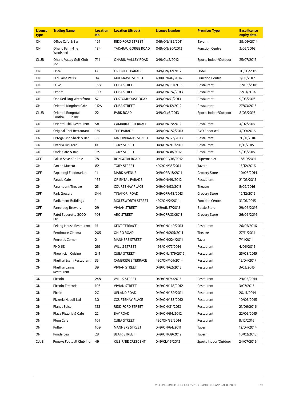| <b>Licence</b><br>type | <b>Trading Name</b>                    | <b>Location</b><br>No. | <b>Location (Street)</b>  | <b>Licence Number</b> | <b>Premises Type</b>   | <b>Base licence</b><br>expiry date |
|------------------------|----------------------------------------|------------------------|---------------------------|-----------------------|------------------------|------------------------------------|
| ON                     | Office Cafe & Bar                      | 124                    | RIDDIFORD STREET          | 049/0N/135/2011       | Tavern                 | 29/09/2014                         |
| ON                     | Ohariu Farm-The<br>Woolshed            | 184                    | TAKARAU GORGE ROAD        | 049/0N/80/2013        | <b>Function Centre</b> | 3/05/2016                          |
| <b>CLUB</b>            | Ohariu Valley Golf Club<br>Inc         | 714                    | OHARIU VALLEY ROAD        | 049/CL/2/2012         | Sports Indoor/Outdoor  | 25/07/2015                         |
| ON                     | Ohtel                                  | 66                     | ORIENTAL PARADE           | 049/0N/32/2012        | Hotel                  | 20/03/2015                         |
| ON                     | Old Saint Pauls                        | 34                     | <b>MULGRAVE STREET</b>    | 49B/ON/46/2014        | <b>Function Centre</b> | 2/05/2017                          |
| ON                     | Olive                                  | 168                    | <b>CUBA STREET</b>        | 049/0N/131/2013       | Restaurant             | 22/06/2016                         |
| ON                     | Ombra                                  | 199                    | <b>CUBA STREET</b>        | 049/0N/187/2013       | Restaurant             | 22/11/2014                         |
| ON                     | One Red Dog Waterfront                 | 57                     | <b>CUSTOMHOUSE QUAY</b>   | 049/0N/51/2013        | Restaurant             | 9/03/2016                          |
| ON                     | Oriental Kingdom Cafe                  | 112A                   | <b>CUBA STREET</b>        | 049/0N/42/2012        | Restaurant             | 27/03/2015                         |
| <b>CLUB</b>            | Oriental Rongotai<br>Football Club Inc | 22                     | PARK ROAD                 | 049/CL/6/2013         | Sports Indoor/Outdoor  | 8/03/2016                          |
| ON                     | Oriental Thai Restaurant               | 58                     | <b>CAMBRIDGE TERRACE</b>  | 049/0N/18/2012        | Restaurant             | 4/02/2015                          |
| ON                     | Original Thai Restaurant               | 155                    | THE PARADE                | 049/0N/182/2013       | <b>BYO Endorsed</b>    | 4/09/2016                          |
| ON                     | Ortega Fish Shack & Bar                | 16                     | <b>MAJORIBANKS STREET</b> | 049/0N/173/2013       | Restaurant             | 20/11/2016                         |
| ON                     | Osteria Del Toro                       | 60                     | <b>TORY STREET</b>        | 049/0N/201/2012       | Restaurant             | 6/11/2015                          |
| ON                     | Ozeki Cafe & Bar                       | 159                    | <b>TORY STREET</b>        | 049/0N/38/2012        | Restaurant             | 9/03/2015                          |
| OFF                    | Pak 'n Save Kilbirnie                  | 78                     | RONGOTAI ROAD             | 049/0FF/36/2012       | Supermarket            | 18/10/2015                         |
| ON                     | Pan de Muerto                          | 82                     | <b>TORY STREET</b>        | 49C/ON/35/2014        | Tavern                 | 13/12/2016                         |
| OFF                    | Paparangi Foodmarket                   | 11                     | <b>MARK AVENUE</b>        | 049/0FF/18/2011       | <b>Grocery Store</b>   | 10/06/2014                         |
| ON                     | Parade Cafe                            | 165                    | ORIENTAL PARADE           | 049/0N/49/2012        | Restaurant             | 21/03/2015                         |
| ON                     | Paramount Theatre                      | 25                     | <b>COURTENAY PLACE</b>    | 049/0N/93/2013        | Theatre                | 5/02/2016                          |
| OFF                    | Park Grocery                           | 344                    | TINAKORI ROAD             | 049/0FF/48/2013       | <b>Grocery Store</b>   | 12/12/2015                         |
| ON                     | Parliament Buildings                   | $\mathbf{1}$           | <b>MOLESWORTH STREET</b>  | 49C/ON/2/2014         | <b>Function Centre</b> | 31/01/2015                         |
| <b>OFF</b>             | Parrotdog Brewery                      | 29                     | <b>VIVIAN STREET</b>      | 049/off/37/2013       | <b>Bottle Store</b>    | 29/06/2016                         |
| <b>OFF</b>             | Patel Superette 2000<br>Ltd            | 103                    | <b>ARO STREET</b>         | 049/0FF/33/2013       | <b>Grocery Store</b>   | 26/06/2016                         |
| ON                     | Peking House Restaurant                | 15                     | <b>KENT TERRACE</b>       | 049/0N/149/2013       | Restaurant             | 26/07/2016                         |
| ΟN                     | Penthouse Cinema                       | 205                    | OHIRO ROAD                | 049/0N/205/2011       | Theatre                | 27/11/2014                         |
| ON                     | Perrett's Corner                       | 2                      | <b>MANNERS STREET</b>     | 049/0N/224/2011       | Tavern                 | 7/11/2014                          |
| ON                     | <b>PHO 68</b>                          | 219                    | <b>WILLIS STREET</b>      | 49B/ON/77/2014        | Restaurant             | 4/06/2015                          |
| ON                     | Phoenician Cuisine                     | 241                    | <b>CUBA STREET</b>        | 049/0NJ/179/2012      | Restaurant             | 25/08/2015                         |
| ON                     | Phuthai Esarn Restaurant               | 35                     | <b>CAMBRIDGE TERRACE</b>  | 49C/ON/101/2014       | Restaurant             | 15/04/2017                         |
| ON                     | Phuthai Lanna<br>Restaurant            | 39                     | <b>VIVIAN STREET</b>      | 049/0N/62/2012        | Restaurant             | 3/03/2015                          |
| ON                     | Piccolo                                | 248                    | <b>WILLIS STREET</b>      | 049/0N/74/2013        | Restaurant             | 29/05/2014                         |
| ON                     | Piccolo Trattoria                      | 103                    | <b>VIVIAN STREET</b>      | 049/0N/178/2012       | Restaurant             | 3/07/2015                          |
| ON                     | Picnic                                 | 2C                     | <b>UPLAND ROAD</b>        | 049/0N/189/2011       | Restaurant             | 20/11/2014                         |
| ON                     | Pizzeria Napoli Ltd                    | 30                     | <b>COURTENAY PLACE</b>    | 049/0N/138/2012       | Restaurant             | 10/06/2015                         |
| ON                     | <b>Planet Spice</b>                    | 128                    | RIDDIFORD STREET          | 049/0N/81/2013        | Restaurant             | 21/06/2016                         |
| ON                     | Plaza Pizzeria & Cafe                  | 22                     | <b>BAY ROAD</b>           | 049/0N/94/2012        | Restaurant             | 22/06/2015                         |
| ON                     | Plum Cafe                              | 101                    | <b>CUBA STREET</b>        | 49C/ON/32/2014        | Restaurant             | 9/12/2016                          |
| ON                     | Pollux                                 | 109                    | <b>MANNERS STREET</b>     | 049/0N/64/2011        | Tavern                 | 12/04/2014                         |
| ON                     | Ponderosa                              | 28                     | <b>BLAIR STREET</b>       | 049/0N/39/2012        | Tavern                 | 10/02/2015                         |
| <b>CLUB</b>            | Poneke Football Club Inc               | 49                     | KILBIRNIE CRESCENT        | 049/CL/16/2013        | Sports Indoor/Outdoor  | 24/07/2016                         |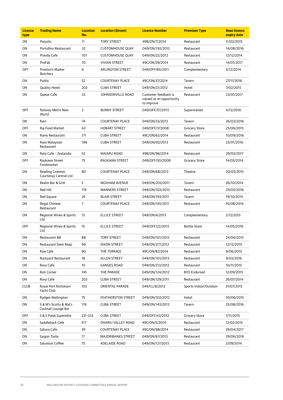| <b>Licence</b><br>type | <b>Trading Name</b>                             | <b>Location</b><br>No. | <b>Location (Street)</b>  | <b>Licence Number</b>                                          | <b>Premises Type</b>  | <b>Base licence</b><br>expiry date |
|------------------------|-------------------------------------------------|------------------------|---------------------------|----------------------------------------------------------------|-----------------------|------------------------------------|
| ON                     | Poquito                                         | 11                     | <b>TORY STREET</b>        | 49B/ON/7/2014                                                  | Restaurant            | 11/02/2015                         |
| ON                     | Portofino Restaurant                            | 33                     | <b>CUSTOMHOUSE QUAY</b>   | 049/0N/192/2013                                                | Restaurant            | 14/08/2016                         |
| ON                     | Pravda Cafe                                     | 107                    | <b>CUSTOMHOUSE QUAY</b>   | 049/0N/22/2012                                                 | Restaurant            | 12/12/2014                         |
| ON                     | PreFab                                          | 70                     | <b>VIVIAN STREET</b>      | 49C/ON/39/2014                                                 | Restaurant            | 14/01/2017                         |
| <b>OFF</b>             | Preston's Master<br><b>Butchers</b>             | 6                      | <b>ARLINGTON STREET</b>   | 049/0FF/65/2011                                                | Complementary         | 5/12/2014                          |
| ON                     | Public                                          | 52                     | <b>COURTENAY PLACE</b>    | 49C/ON/37/2014                                                 | Tavern                | 27/11/2016                         |
| ON                     | <b>Quality Hotel</b>                            | 203                    | <b>CUBA STREET</b>        | 049/0N/21/2012                                                 | Hotel                 | 7/02/2015                          |
| ON                     | Queue Cafe                                      | 33                     | JOHNSONVILLE ROAD         | Customer feedback is<br>valued as an opportunity<br>to improve | Restaurant            | 23/01/2017                         |
| <b>OFF</b>             | Railway Metro New<br>World                      | $\overline{2}$         | <b>BUNNY STREET</b>       | 049/0FF/57/2013                                                | Supermarket           | 4/12/2016                          |
| ON                     | Rain                                            | 74                     | <b>COURTENAY PLACE</b>    | 049/0N/33/2013                                                 | Tavern                | 26/02/2016                         |
| OFF                    | Raj Food Market                                 | 63                     | <b>HOBART STREET</b>      | 049/0FF/372008                                                 | <b>Grocery Store</b>  | 25/06/2015                         |
| ON                     | Rams Restaurant                                 | 171                    | <b>CUBA STREET</b>        | 49C/ON/62/2014                                                 | Restaurant            | 10/09/2016                         |
| ON                     | Rasa Malaysian<br>Restaurant                    | 196                    | <b>CUBA STREET</b>        | 049/0N/92/2013                                                 | Restaurant            | 23/01/2016                         |
| ON                     | Rata Cafe - Zealandia                           | 53                     | <b>WAIAPU ROAD</b>        | 49B/ON/96/2014                                                 | Restaurant            | 29/03/2017                         |
| <b>OFF</b>             | Raukawa Street<br>Foodmarket                    | 75                     | RAUKAWA STREET            | 049/0FF/30/2008                                                | <b>Grocery Store</b>  | 14/05/2014                         |
| ON                     | <b>Reading Cinemas</b><br>Courtenay Central Ltd | 80                     | <b>COURTENAY PLACE</b>    | 049/0N/68/2012                                                 | Theatre               | 20/03/2015                         |
| ON                     | Realm Bar & Grill                               | 5                      | <b>MOXHAM AVENUE</b>      | 049/0N/203/2011                                                | Tavern                | 26/10/2014                         |
| ON                     | Red Hill                                        | 119                    | <b>MANNERS STREET</b>     | 049/0N/102/2013                                                | Restaurant            | 29/05/2016                         |
| ON                     | Red Square                                      | 24                     | <b>BLAIR STREET</b>       | 049/0N/193/2011                                                | Tavern                | 19/10/2014                         |
| ON                     | Regal Chinese<br>Restaurant                     | 7                      | <b>COURTENAY PLACE</b>    | 049/0N/145/2011                                                | Restaurant            | 16/08/2014                         |
| ON                     | Regional Wines & Spirits<br>Ltd                 | 15                     | <b>ELLICE STREET</b>      | 049/0N/4/2013                                                  | Complementary         | 2/12/2015                          |
| <b>OFF</b>             | Regional Wines & Spirits<br>Ltd                 | 15                     | <b>ELLICE STREET</b>      | 049/0FF/22/2013                                                | <b>Bottle Store</b>   | 14/05/2016                         |
| ON                     | Restaurant 88                                   | 88                     | <b>TORY STREET</b>        | 049/0N/101/2012                                                | Restaurant            | 24/06/2015                         |
| ON                     | <b>Restaurant Siem Reap</b>                     | 99                     | DIXON STREET              | 049/0N/217/2012                                                | Restaurant            | 12/12/2015                         |
| ON                     | Rise Cafe                                       | 90                     | THE TERRACE               | 49C/ON/82/2014                                                 | Restaurant            | 9/06/2015                          |
| ON                     | Rockyard Restaurant                             | 18                     | ALLEN STREET              | 049/0N/101/2013                                                | Restaurant            | 9/03/2016                          |
| ON                     | Rosa Cafe                                       | 10                     | <b>GANGES ROAD</b>        | 049/0N/213/2012                                                | Restaurant            | 10/11/2015                         |
| ON                     | Roti Corner                                     | 145                    | THE PARADE                | 049/0N/124/2012                                                | <b>BYO Endorsed</b>   | 12/09/2015                         |
| ON                     | Roxy Cafe                                       | 203                    | <b>CUBA STREET</b>        | 049/0N/129/2011                                                | Restaurant            | 26/07/2014                         |
| CLUB                   | Royal Port Nicholson<br>Yacht Club              | 103                    | ORIENTAL PARADE           | 049/CL/8/2012                                                  | Sports Indoor/Outdoor | 31/07/2015                         |
| ON                     | Rydges Wellington                               | 75                     | <b>FEATHERSTON STREET</b> | 049/0N/102/2012                                                | Hotel                 | 30/06/2015                         |
| ON                     | S & M's Scotty & Mal's<br>Cocktail Lounge Bar   | 176                    | <b>CUBA STREET</b>        | 049/0N/143/2013                                                | Tavern                | 25/08/2016                         |
| OFF                    | S & S Patel Superette                           | 231-233                | <b>CUBA STREET</b>        | 049/0FF/43/2012                                                | <b>Grocery Store</b>  | 7/11/2015                          |
| ON                     | Saddleback Cafe                                 | 517                    | OHARIU VALLEY ROAD        | 49C/ON/5/2014                                                  | Restaurant            | 12/02/2015                         |
| ON                     | Sahara Cafe                                     | 39                     | <b>COURTENAY PLACE</b>    | 49C/ON/98/2014                                                 | Restaurant            | 29/04/2017                         |
| ON                     | Saigon Taste                                    | 17                     | <b>MAJORIBANKS STREET</b> | 049/0N/67/2013                                                 | Restaurant            | 29/06/2016                         |
| ON                     | Salvation Coffee                                | 75                     | ADELAIDE ROAD             | 049/0N/127/2013                                                | Restaurant            | 2/09/2014                          |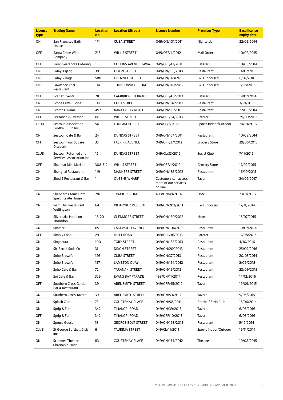| <b>Licence</b><br>type | <b>Trading Name</b>                               | <b>Location</b><br>No. | <b>Location (Street)</b>   | <b>Licence Number</b>                                   | <b>Premises Type</b>  | <b>Base licence</b><br>expiry date |
|------------------------|---------------------------------------------------|------------------------|----------------------------|---------------------------------------------------------|-----------------------|------------------------------------|
| ON                     | San Francisco Bath<br>House                       | 171                    | <b>CUBA STREET</b>         | 049/0N/101/2011                                         | Nightclub             | 22/05/2014                         |
| OFF                    | Santa Croce Wine<br>Company                       | 218                    | <b>WILLIS STREET</b>       | 049/0FF/4/2012                                          | Mail Order            | 10/02/2015                         |
| OFF                    | Sarah Searancke Catering                          | $\mathbf{1}$           | <b>COLLINS AVENUE TAWA</b> | 049/0FF/43/2011                                         | Caterer               | 10/08/2014                         |
| ON                     | Satay Kajang                                      | 39                     | <b>DIXON STREET</b>        | 049/0N/133/2013                                         | Restaurant            | 14/07/2016                         |
| ON                     | Satay Village                                     | 58B                    | <b>GHUZNEE STREET</b>      | 049/0N/148/2013                                         | <b>BYO Endorsed</b>   | 8/07/2016                          |
| ON                     | Sawasdee Thai<br>Restaurant                       | 114                    | JOHNSONVILLE ROAD          | 049/0N/149/2012                                         | <b>BYO Endorsed</b>   | 2/08/2015                          |
| <b>OFF</b>             | <b>Scarlet Events</b>                             | 28                     | <b>CAMBRIDGE TERRACE</b>   | 049/0FF/40/2013                                         | Caterer               | 19/07/2014                         |
| ON                     | Scopa Caffe Cucina                                | 141                    | <b>CUBA STREET</b>         | 049/0N/182/2012                                         | Restaurant            | 3/10/2015                          |
| ON                     | Scorch O Rama                                     | 497                    | KARAKA BAY ROAD            | 049/0N/90/2011                                          | Restaurant            | 22/06/2014                         |
| OFF                    | Seasoned & Dressed                                | 88                     | <b>WILLIS STREET</b>       | 049/0FF/54/2013                                         | Caterer               | 29/09/2016                         |
| <b>CLUB</b>            | Seatoun Association<br>Football Club Inc          | 56                     | LUDLAM STREET              | 049/CL/2/2013                                           | Sports Indoor/Outdoor | 24/01/2016                         |
| ON                     | Seatoun Cafe & Bar                                | 24                     | <b>DUNDAS STREET</b>       | 049/0N/154/2011                                         | Restaurant            | 10/09/2014                         |
| <b>OFF</b>             | Seatoun Four Square<br>Discount                   | 35                     | <b>FALKIRK AVENUE</b>      | 049/0FF/37/2012                                         | <b>Grocery Store</b>  | 29/06/2015                         |
| <b>CLUB</b>            | Seatoun Returned and<br>Services' Association Inc | 12                     | <b>DUNDAS STREET</b>       | 049/CL/33/2012                                          | Social Club           | 7/11/2015                          |
| OFF                    | Shalimar Mini Market                              | 308-312                | <b>WILLIS STREET</b>       | 049/0FF/1/2012                                          | <b>Grocery Store</b>  | 17/02/2015                         |
| ON                     | Shanghai Restaurant                               | 119                    | <b>MANNERS STREET</b>      | 049/0N/183/2012                                         | Restaurant            | 16/10/2015                         |
| ON                     | Shed 5 Restaurant & Bar                           | $\mathbf{1}$           | <b>QUEENS WHARF</b>        | Customers can access<br>more of our services<br>on line | Tavern                | 24/02/2017                         |
| ON                     | Shepherds Arms Hotel<br>Speights Ale House        | 281                    | <b>TINAKORI ROAD</b>       | 49B/ON/49/2014                                          | Hotel                 | 23/11/2016                         |
| ON                     | Siam Thai Restaurant<br>Wellington                | 64                     | KILBIRNIE CRESCENT         | 049/0N/202/2011                                         | <b>BYO Endorsed</b>   | 17/11/2014                         |
| ON                     | Silveroaks Hotel on<br>Thorndon                   | 18-20                  | <b>GLENMORE STREET</b>     | 049/0N/150/2012                                         | Hotel                 | 15/07/2015                         |
| ΟN                     | Simmer                                            | 69                     | LAKEWOOD AVENUE            | 049/0N/106/2013                                         | Restaurant            | 10/07/2014                         |
| OFF                    | Simply Food                                       | 29                     | <b>HUTT ROAD</b>           | 049/0FF/36/2013                                         | Caterer               | 17/08/2016                         |
| ON                     | Singapura                                         | 100                    | <b>TORY STREET</b>         | 049/0N/158/2013                                         | Restaurant            | 4/10/2016                          |
| ON                     | Six Barrel Soda Co                                | 31                     | <b>DIXON STREET</b>        | 049/0N/2002013                                          | Restaurant            | 25/09/2016                         |
| ON                     | Soho Brown's                                      | 126                    | <b>CUBA STREET</b>         | 049/0N/37/2013                                          | Restaurant            | 20/03/2014                         |
| ΟN                     | Soho Brown's                                      | 157                    | <b>LAMBTON QUAY</b>        | 049/0N/154/2012                                         | Restaurant            | 2/09/2015                          |
| ON                     | Soho Cafe & Bar                                   | 72                     | <b>TARANAKI STREET</b>     | 049/0N/16/2013                                          | Restaurant            | 28/09/2015                         |
| ON                     | Soi Cafe & Bar                                    | 329                    | <b>EVANS BAY PARADE</b>    | 49B/ON/11/2014                                          | Restaurant            | 14/12/2016                         |
| OFF                    | Southern Cross Garden<br>Bar & Restaurant         | 39                     | ABEL SMITH STREET          | 049/0FF/45/2012                                         | Tavern                | 19/09/2015                         |
| ON                     | Southern Cross Tavern                             | 39                     | ABEL SMITH STREET          | 049/0N/93/2012                                          | Tavern                | 9/05/2015                          |
| ON                     | Splash Club                                       | 73                     | <b>COURTENAY PLACE</b>     | 049/0N/98/2011                                          | Brothel/ Strip Club   | 13/06/2014                         |
| ON                     | Sprig & Fern                                      | 342                    | TINAKORI ROAD              | 049/0N/39/2013                                          | Tavern                | 6/03/2016                          |
| <b>OFF</b>             | Sprig & Fern                                      | 342                    | TINAKORI ROAD              | 049/0FF/10/2013                                         | Tavern                | 6/03/2016                          |
| ON                     | Spruce Goose                                      | 1B                     | <b>GEORGE BOLT STREET</b>  | 049/0N/198/2013                                         | Restaurant            | 5/12/2014                          |
| <b>CLUB</b>            | St George Softball Club<br><b>Inc</b>             | 6                      | TAURIMA STREET             | 049/CL/11/2011                                          | Sports Indoor/Outdoor | 19/11/2014                         |
| ON                     | St James Theatre<br>Charitable Trust              | 83                     | <b>COURTENAY PLACE</b>     | 049/0N/134/2012                                         | Theatre               | 10/08/2015                         |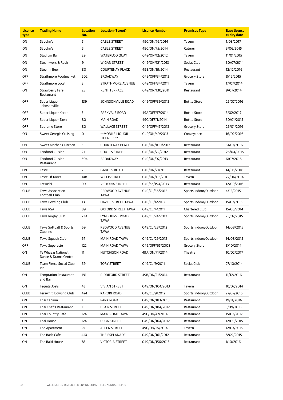| <b>Licence</b><br>type | <b>Trading Name</b>                        | <b>Location</b><br>No. | <b>Location (Street)</b>      | <b>Licence Number</b> | <b>Premises Type</b>  | <b>Base licence</b><br>expiry date |
|------------------------|--------------------------------------------|------------------------|-------------------------------|-----------------------|-----------------------|------------------------------------|
| ON                     | St John's                                  | 5                      | <b>CABLE STREET</b>           | 49C/ON/76/2014        | Tavern                | 1/03/2017                          |
| ON                     | St John's                                  | 5                      | <b>CABLE STREET</b>           | 49C/ON/75/2014        | Caterer               | 3/06/2015                          |
| ON                     | Stadium Bar                                | 29                     | <b>WATERLOO QUAY</b>          | 049/0N/12/2012        | Tavern                | 11/01/2015                         |
| ON                     | Steamworx & Rush                           | 9                      | <b>WIGAN STREET</b>           | 049/0N/121/2013       | Social Club           | 30/07/2014                         |
| ON                     | Steer n' Beer                              | 80                     | <b>COURTENAY PLACE</b>        | 49B/ON/19/2014        | Restaurant            | 12/12/2016                         |
| <b>OFF</b>             | Strathmore Foodmarket                      | 502                    | <b>BROADWAY</b>               | 049/0FF/34/2013       | <b>Grocery Store</b>  | 8/12/2015                          |
| <b>OFF</b>             | Strathmore Local                           | 3                      | <b>STRATHMORE AVENUE</b>      | 049/0FF/34/2011       | Tavern                | 17/07/2014                         |
| ON                     | <b>Strawberry Fare</b><br>Restaurant       | 25                     | <b>KENT TERRACE</b>           | 049/0N/130/2011       | Restaurant            | 9/07/2014                          |
| <b>OFF</b>             | Super Liquor<br>Johnsonville               | 139                    | JOHNSONVILLE ROAD             | 049/0FF/39/2013       | <b>Bottle Store</b>   | 25/07/2016                         |
| <b>OFF</b>             | Super Liquor Karori                        | 5                      | PARKVALE ROAD                 | 49A/OFF/17/2014       | <b>Bottle Store</b>   | 3/02/2017                          |
| OFF                    | Super Liquor Tawa                          | 80                     | <b>MAIN ROAD</b>              | 49C/OFF/1/2014        | <b>Bottle Store</b>   | 30/01/2015                         |
| <b>OFF</b>             | Supreme Store                              | 80                     | <b>WALLACE STREET</b>         | 049/0FF/45/2013       | <b>Grocery Store</b>  | 26/01/2016                         |
| ON                     | Sweet Georgia Cruising                     | 0                      | **MOBILE LIQUOR<br>LICENCES** | 049/0N/49/2013        | Conveyance            | 16/02/2016                         |
| ON                     | Sweet Mother's Kitchen                     | 5                      | <b>COURTENAY PLACE</b>        | 049/0N/100/2013       | Restaurant            | 31/07/2016                         |
| ON                     | <b>Tandoori Cuisine</b>                    | 21                     | <b>COUTTS STREET</b>          | 049/0N/72/2012        | Restaurant            | 26/04/2015                         |
| ON                     | Tandoori Cuisine<br>Restaurant             | 504                    | <b>BROADWAY</b>               | 049/0N/97/2013        | Restaurant            | 6/07/2016                          |
| ON                     | <b>Taste</b>                               | $\overline{2}$         | <b>GANGES ROAD</b>            | 049/0N/71/2013        | Restaurant            | 14/05/2016                         |
| ON                     | Taste Of Korea                             | 148                    | <b>WILLIS STREET</b>          | 049/0N/115/2011       | Tavern                | 22/06/2014                         |
| ON                     | Tatsushi                                   | 99                     | <b>VICTORIA STREET</b>        | 049/on/194/2013       | Restaurant            | 12/09/2016                         |
| <b>CLUB</b>            | Tawa Association<br><b>Football Club</b>   |                        | REDWOOD AVENUE<br><b>TAWA</b> | 049/CL/36/2012        | Sports Indoor/Outdoor | 4/12/2015                          |
| <b>CLUB</b>            | Tawa Bowling Club                          | 13                     | DAVIES STREET TAWA            | 049/CL/4/2012         | Sports Indoor/Outdoor | 15/07/2015                         |
| <b>CLUB</b>            | Tawa RSA                                   | 89                     | <b>OXFORD STREET TAWA</b>     | 049/CL/4/2011         | Chartered Club        | 15/06/2014                         |
| <b>CLUB</b>            | Tawa Rugby Club                            | 23A                    | LYNDHURST ROAD<br><b>TAWA</b> | 049/CL/24/2012        | Sports Indoor/Outdoor | 25/07/2015                         |
| <b>CLUB</b>            | Tawa Softball & Sports<br>Club Inc.        | 69                     | REDWOOD AVENUE<br><b>TAWA</b> | 049/CL/28/2012        | Sports Indoor/Outdoor | 14/08/2015                         |
| <b>CLUB</b>            | Tawa Squash Club                           | 67                     | <b>MAIN ROAD TAWA</b>         | 049/CL/29/2012        | Sports Indoor/Outdoor | 14/08/2015                         |
| OFF                    | Tawa Superette                             | 122                    | <b>MAIN ROAD TAWA</b>         | 049/0FF/65/2008       | Grocery Store         | 8/10/2014                          |
| ON                     | Te Whaea: National<br>Dance & Drama Centre | 11                     | <b>HUTCHISON ROAD</b>         | 49A/ON/71/2014        | Theatre               | 10/02/2017                         |
| <b>CLUB</b>            | Team Fierce Social Club<br>Inc             | 69                     | <b>TORY STREET</b>            | 049/CL/9/2011         | Social Club           | 27/10/2014                         |
| ON                     | <b>Temptation Restaurant</b><br>and Bar    | 191                    | RIDDIFORD STREET              | 49B/ON/21/2014        | Restaurant            | 11/12/2016                         |
| ON                     | Tequila Joe's                              | 43                     | <b>VIVIAN STREET</b>          | 049/0N/104/2013       | Tavern                | 10/07/2014                         |
| <b>CLUB</b>            | Terawhiti Bowling Club                     | 424                    | <b>KARORI ROAD</b>            | 049/CL/9/2012         | Sports Indoor/Outdoor | 27/07/2015                         |
| ON                     | Thai Canium                                | 1                      | PARK ROAD                     | 049/0N/183/2013       | Restaurant            | 19/11/2016                         |
| ON                     | Thai Chef's Restaurant                     | 1                      | <b>BLAIR STREET</b>           | 049/0N/184/2012       | Restaurant            | 5/09/2015                          |
| ON                     | Thai Country Cafe                          | 124                    | <b>MAIN ROAD TAWA</b>         | 49C/ON/47/2014        | Restaurant            | 15/02/2017                         |
| ON                     | Thai House                                 | 124                    | <b>CUBA STREET</b>            | 049/0N/164/2012       | Restaurant            | 12/09/2015                         |
| ON                     | The Apartment                              | 25                     | ALLEN STREET                  | 49C/ON/25/2014        | Tavern                | 12/03/2015                         |
| ON                     | The Bach Cafe                              | 410                    | THE ESPLANADE                 | 049/0N/161/2012       | Restaurant            | 8/09/2015                          |
| ON                     | The Balti House                            | 78                     | <b>VICTORIA STREET</b>        | 049/0N/156/2013       | Restaurant            | 1/10/2016                          |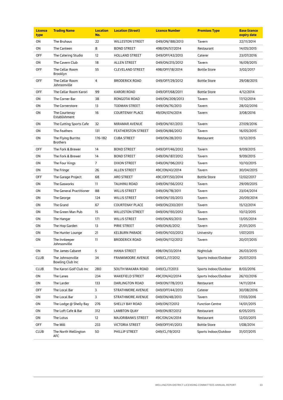| <b>Licence</b><br>type | <b>Trading Name</b>                   | <b>Location</b><br>No. | <b>Location (Street)</b>  | <b>Licence Number</b> | <b>Premises Type</b>   | <b>Base licence</b><br>expiry date |
|------------------------|---------------------------------------|------------------------|---------------------------|-----------------------|------------------------|------------------------------------|
| ON                     | The Bruhaus                           | 22                     | <b>WILLESTON STREET</b>   | 049/0N/188/2013       | Tavern                 | 22/11/2014                         |
| ON                     | The Canteen                           | 8                      | <b>BOND STREET</b>        | 49B/ON/57/2014        | Restaurant             | 14/05/2015                         |
| OFF                    | The Catering Studio                   | 12                     | <b>HOLLAND STREET</b>     | 049/0FF/43/2013       | Caterer                | 23/07/2016                         |
| ON                     | The Cavern Club                       | 18                     | <b>ALLEN STREET</b>       | 049/0N/215/2012       | Tavern                 | 16/09/2015                         |
| OFF                    | The Cellar Room<br><b>Brooklyn</b>    | 55                     | <b>CLEVELAND STREET</b>   | 49B/OFF/18/2014       | <b>Bottle Store</b>    | 3/02/2017                          |
| OFF                    | The Cellar Room<br>Johnsonville       | $\overline{4}$         | <b>BRODERICK ROAD</b>     | 049/0FF/29/2012       | <b>Bottle Store</b>    | 29/08/2015                         |
| OFF                    | The Cellar Room Karori                | 99                     | <b>KARORI ROAD</b>        | 049/0FF/68/2011       | <b>Bottle Store</b>    | 4/12/2014                          |
| ΟN                     | The Corner Bar                        | 38                     | RONGOTAI ROAD             | 049/0N/209/2013       | Tavern                 | 17/12/2014                         |
| ON                     | The Cornerstore                       | 13                     | <b>TODMAN STREET</b>      | 049/0N/76/2013        | Tavern                 | 28/02/2016                         |
| ON                     | The Courtenay<br>Establishment        | 16                     | <b>COURTENAY PLACE</b>    | 49/0N/074/2014        | Tavern                 | 3/08/2016                          |
| ON                     | The Cutting Sports Cafe               | 32                     | <b>MIRAMAR AVENUE</b>     | 049/0N/161/2013       | Tavern                 | 27/09/2016                         |
| ON                     | The Feathers                          | 131                    | <b>FEATHERSTON STREET</b> | 049/0N/86/2012        | Tavern                 | 16/05/2015                         |
| ΟN                     | The Flying Burrito<br><b>Brothers</b> | 176-182                | <b>CUBA STREET</b>        | 049/0N/28/2013        | Restaurant             | 13/12/2015                         |
| OFF                    | The Fork & Brewer                     | 14                     | <b>BOND STREET</b>        | 049/0FF/46/2012       | Tavern                 | 9/09/2015                          |
| ON                     | The Fork & Brewer                     | 14                     | <b>BOND STREET</b>        | 049/0N/187/2012       | Tavern                 | 9/09/2015                          |
| ON                     | The Four Kings                        | 7                      | <b>DIXON STREET</b>       | 049/0N/196/2012       | Tavern                 | 10/10/2015                         |
| ON                     | The Fringe                            | 26                     | <b>ALLEN STREET</b>       | 49C/ON/43/2014        | Tavern                 | 30/04/2015                         |
| OFF                    | The Garage Project                    | 68                     | <b>ARO STREET</b>         | 49C/OFF/50/2014       | <b>Bottle Store</b>    | 12/02/2017                         |
| ON                     | The Gasworks                          | 11                     | <b>TAUHINU ROAD</b>       | 049/0N/156/2012       | Tavern                 | 29/09/2015                         |
| ON                     | The General Practitioner              | 88                     | <b>WILLIS STREET</b>      | 049/0N/78/2011        | Tavern                 | 23/04/2014                         |
| ON                     | The George                            | 124                    | <b>WILLIS STREET</b>      | 049/0N/135/2013       | Tavern                 | 20/09/2014                         |
| ON                     | The Grand                             | 67                     | <b>COURTENAY PLACE</b>    | 049/0N/230/2011       | Tavern                 | 15/12/2014                         |
| ON                     | The Green Man Pub                     | 15                     | <b>WILLESTON STREET</b>   | 049/0N/193/2012       | Tavern                 | 10/12/2015                         |
| ON                     | The Hangar                            | 171                    | <b>WILLIS STREET</b>      | 049/0N/65/2013        | Tavern                 | 13/05/2014                         |
| ON                     | The Hop Garden                        | 13                     | PIRIE STREET              | 049/0N/6/2012         | Tavern                 | 21/01/2015                         |
| ΟN                     | The Hunter Lounge                     | 21                     | <b>KELBURN PARADE</b>     | 049/0N/103/2012       | University             | 1/07/2015                          |
| ΟN                     | The Innkeeper<br>Johnsonville         | 11                     | <b>BRODERICK ROAD</b>     | 049/0N/112/2012       | Tavern                 | 20/07/2015                         |
| ON                     | The James Cabaret                     | 5                      | <b>HANIA STREET</b>       | 49B/ON/33/2014        | Nightclub              | 26/03/2015                         |
| <b>CLUB</b>            | The Johnsonville<br>Bowling Club Inc  | 34                     | <b>FRANKMOORE AVENUE</b>  | 049/CL/17/2012        | Sports Indoor/Outdoor  | 25/07/2015                         |
| <b>CLUB</b>            | The Karori Golf Club Inc              | 280                    | SOUTH MAKARA ROAD         | 049/CL/7/2013         | Sports Indoor/Outdoor  | 8/03/2016                          |
| ON                     | The Lanes                             | 234                    | <b>WAKEFIELD STREET</b>   | 49C/ON/42/2014        | Sports Indoor/Outdoor  | 26/10/2016                         |
| ON                     | The Larder                            | 133                    | DARLINGTON ROAD           | 049/0N/178/2013       | Restaurant             | 14/11/2014                         |
| <b>OFF</b>             | The Local Bar                         | 3                      | <b>STRATHMORE AVENUE</b>  | 049/0FF/44/2013       | Caterer                | 30/08/2016                         |
| ON                     | The Local Bar                         | 3                      | STRATHMORE AVENUE         | 049/0N/48/2013        | Tavern                 | 17/03/2016                         |
| ON                     | The Lodge @ Shelly Bay                | 276                    | SHELLY BAY ROAD           | 049/0N/7/2012         | <b>Function Centre</b> | 14/01/2015                         |
| ON                     | The Loft Cafe & Bar                   | 312                    | <b>LAMBTON QUAY</b>       | 049/0N/87/2012        | Restaurant             | 6/05/2015                          |
| ON                     | The Lotus                             | 12                     | <b>MAJORIBANKS STREET</b> | 49C/ON/24/2014        | Restaurant             | 12/03/2015                         |
| <b>OFF</b>             | The Mill                              | 233                    | <b>VICTORIA STREET</b>    | 049/0FF/41/2013       | <b>Bottle Store</b>    | 1/08/2014                          |
| <b>CLUB</b>            | The North Wellington<br>AFC           | 50                     | PHILLIP STREET            | 049/CL/19/2012        | Sports Indoor/Outdoor  | 31/07/2015                         |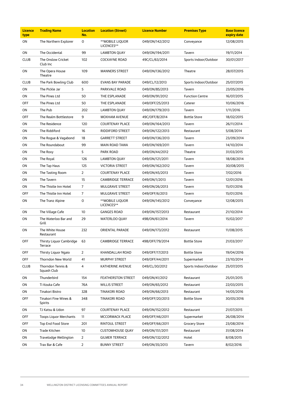| <b>Licence</b><br>type | <b>Trading Name</b>                     | <b>Location</b><br>No. | <b>Location (Street)</b>      | <b>Licence Number</b> | <b>Premises Type</b>   | <b>Base licence</b><br>expiry date |
|------------------------|-----------------------------------------|------------------------|-------------------------------|-----------------------|------------------------|------------------------------------|
| ON                     | The Northern Explorer                   | 0                      | **MOBILE LIQUOR<br>LICENCES** | 049/0N/142/2012       | Conveyance             | 12/08/2015                         |
| ON                     | The Occidental                          | 99                     | <b>LAMBTON QUAY</b>           | 049/0N/194/2011       | Tavern                 | 19/11/2014                         |
| <b>CLUB</b>            | The Onslow Cricket<br>Club Inc          | 102                    | <b>COCKAYNE ROAD</b>          | 49C/CL/63/2014        | Sports Indoor/Outdoor  | 30/01/2017                         |
| ON                     | The Opera House<br>Theatre              | 109                    | <b>MANNERS STREET</b>         | 049/0N/136/2012       | Theatre                | 28/07/2015                         |
| <b>CLUB</b>            | The Park Bowling Club                   | 600                    | <b>EVANS BAY PARADE</b>       | 049/CL/12/2013        | Sports Indoor/Outdoor  | 25/07/2015                         |
| ON                     | The Pickle Jar                          | 5                      | PARKVALE ROAD                 | 049/0N/85/2013        | Tavern                 | 23/05/2016                         |
| ON                     | The Pines Ltd                           | 50                     | THE ESPLANADE                 | 049/0N/91/2012        | <b>Function Centre</b> | 16/07/2015                         |
| <b>OFF</b>             | The Pines Ltd                           | 50                     | THE ESPLANADE                 | 049/0FF/25/2013       | Caterer                | 10/06/2016                         |
| ON                     | The Pub                                 | 202                    | <b>LAMBTON QUAY</b>           | 049/0N/179/2013       | Tavern                 | 1/11/2016                          |
| OFF                    | The Realm Bottlestore                   | 9                      | <b>MOXHAM AVENUE</b>          | 49C/OFF/8/2014        | <b>Bottle Store</b>    | 18/02/2015                         |
| ON                     | The Residence                           | 120                    | <b>COURTENAY PLACE</b>        | 049/0N/164/2013       | Tavern                 | 26/11/2014                         |
| ON                     | The Riddiford                           | 16                     | RIDDIFORD STREET              | 049/0N/122/2013       | Restaurant             | 5/08/2014                          |
| ON                     | The Roque & Vagabond                    | 18                     | <b>GARRETT STREET</b>         | 049/0N/136/2013       | Tavern                 | 23/09/2014                         |
| ON                     | The Roundabout                          | 99                     | <b>MAIN ROAD TAWA</b>         | 049/0N/169/2011       | Tavern                 | 14/10/2014                         |
| ON                     | The Roxy                                | 5                      | <b>PARK ROAD</b>              | 049/0N/44/2012        | Theatre                | 31/03/2015                         |
| ON                     | The Royal                               | 126                    | <b>LAMBTON OUAY</b>           | 049/0N/121/2011       | Tavern                 | 18/08/2014                         |
| ON                     | The Tap Haus                            | 125                    | <b>VICTORIA STREET</b>        | 049/0N/162/2012       | Tavern                 | 30/08/2015                         |
| ON                     | The Tasting Room                        | 2                      | <b>COURTENAY PLACE</b>        | 049/0N/45/2013        | Tavern                 | 7/02/2016                          |
| ON                     | The Tavern                              | 15                     | <b>CAMBRIDGE TERRACE</b>      | 049/0N/1/2013         | Tavern                 | 12/01/2016                         |
| ON                     | The Thistle Inn Hotel                   | 7                      | <b>MULGRAVE STREET</b>        | 049/0N/26/2013        | Tavern                 | 15/01/2016                         |
| <b>OFF</b>             | The Thistle Inn Hotel                   | 7                      | <b>MULGRAVE STREET</b>        | 049/0FF/6/2013        | Tavern                 | 15/01/2016                         |
| ON                     | The Tranz Alpine                        | 0                      | **MOBILE LIQUOR<br>LICENCES** | 049/0N/145/2012       | Conveyance             | 12/08/2015                         |
| ON                     | The Village Cafe                        | 10                     | <b>GANGES ROAD</b>            | 049/0N/157/2013       | Restaurant             | 21/10/2014                         |
| ON                     | The Waterloo Bar and<br>Grill           | 29                     | WATERLOO QUAY                 | 49B/ON/61/2014        | Tavern                 | 15/02/2017                         |
| ON                     | The White House<br>Restaurant           | 232                    | <b>ORIENTAL PARADE</b>        | 049/0N/173/2012       | Restaurant             | 11/08/2015                         |
| <b>OFF</b>             | Thirsty Liquor Cambridge<br>Terrace     | 63                     | CAMBRIDGE TERRACE             | 49B/OFF/79/2014       | <b>Bottle Store</b>    | 21/03/2017                         |
| OFF                    | Thirsty Liguor Ngaio                    | $\overline{2}$         | KHANDALLAH ROAD               | 049/0FF/17/2013       | <b>Bottle Store</b>    | 19/04/2016                         |
| OFF                    | Thorndon New World                      | 41                     | <b>MURPHY STREET</b>          | 049/0FF/44/2011       | Supermarket            | 23/10/2014                         |
| <b>CLUB</b>            | Thorndon Tennis &<br>Squash Club        | 4                      | KATHERINE AVENUE              | 049/CL/30/2012        | Sports Indoor/Outdoor  | 25/07/2015                         |
| ON                     | Thunderbird                             | 154                    | <b>FEATHERSTON STREET</b>     | 049/0N/41/2012        | Restaurant             | 25/01/2015                         |
| ON                     | Ti Kouka Cafe                           | 76A                    | <b>WILLIS STREET</b>          | 049/0N/65/2012        | Restaurant             | 22/03/2015                         |
| ON                     | Tinakori Bistro                         | 328                    | TINAKORI ROAD                 | 049/0N/66/2013        | Restaurant             | 14/05/2016                         |
| OFF                    | Tinakori Fine Wines &<br><b>Spirits</b> | 348                    | TINAKORI ROAD                 | 049/0FF/20/2013       | <b>Bottle Store</b>    | 30/05/2016                         |
| ON                     | TJ Katsu & Udon                         | 97                     | <b>COURTENAY PLACE</b>        | 049/0N/152/2012       | Restaurant             | 21/07/2015                         |
| OFF                    | <b>Toops Liquor Merchants</b>           | 11                     | MCCORMACK PLACE               | 049/0FF/46/2011       | Supermarket            | 26/08/2014                         |
| OFF                    | Top End Food Store                      | 201                    | RINTOUL STREET                | 049/0FF/66/2011       | Grocery Store          | 23/08/2014                         |
| ON                     | Trade Kitchen                           | 10                     | <b>CUSTOMHOUSE QUAY</b>       | 049/0N/151/2011       | Restaurant             | 31/08/2014                         |
| ON                     | Travelodge Wellington                   | $\overline{2}$         | <b>GILMER TERRACE</b>         | 049/0N/132/2012       | Hotel                  | 8/08/2015                          |
| ON                     | Trax Bar & Cafe                         | $\overline{2}$         | <b>BUNNY STREET</b>           | 049/0N/35/2013        | Tavern                 | 8/02/2016                          |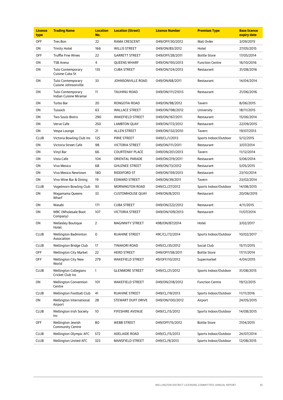| <b>Licence</b><br>type | <b>Trading Name</b>                              | <b>Location</b><br>No. | <b>Location (Street)</b> | <b>Licence Number</b> | <b>Premises Type</b>   | <b>Base licence</b><br>expiry date |
|------------------------|--------------------------------------------------|------------------------|--------------------------|-----------------------|------------------------|------------------------------------|
| OFF                    | Tres Bon                                         | 22                     | RAMA CRESCENT            | 049/0FF/30/2012       | Mail Order             | 3/09/2015                          |
| ON                     | <b>Trinity Hotel</b>                             | 166                    | <b>WILLIS STREET</b>     | 049/0N/85/2012        | Hotel                  | 27/05/2015                         |
| OFF                    | <b>Truffle Fine Wines</b>                        | 22                     | <b>GARRETT STREET</b>    | 049/0FF/28/2011       | <b>Bottle Store</b>    | 17/05/2014                         |
| ON                     | TSB Arena                                        | 4                      | <b>QUEENS WHARF</b>      | 049/0N/193/2013       | <b>Function Centre</b> | 16/10/2016                         |
| ON                     | <b>Tulsi Contemporary</b><br>Cuisine Cuba St     | 135                    | <b>CUBA STREET</b>       | 049/0N/124/2013       | Restaurant             | 31/08/2016                         |
| ON                     | Tulsi Contemporary<br>Cuisine Johnsonville       | 33                     | JOHNSONVILLE ROAD        | 049/0N/68/2011        | Restaurant             | 14/04/2014                         |
| ON                     | Tulsi Contemporary<br>Indian Cuisine Miramar     | 11                     | TAUHINU ROAD             | 049/0N/111/21013      | Restaurant             | 21/06/2016                         |
| ON                     | Turbo Bar                                        | 20                     | RONGOTAI ROAD            | 049/0N/98/2012        | Tavern                 | 8/06/2015                          |
| ΟN                     | Tussock                                          | 63                     | <b>WALLACE STREET</b>    | 049/0N/198/2012       | University             | 18/11/2015                         |
| ΟN                     | <b>Two Souls Bistro</b>                          | 290                    | <b>WAKEFIELD STREET</b>  | 049/0N/167/2011       | Restaurant             | 15/06/2014                         |
| ON                     | Verve Cafe                                       | 250                    | <b>LAMBTON QUAY</b>      | 049/0N/172/2012       | Restaurant             | 22/09/2015                         |
| ON                     | Vespa Lounge                                     | 21                     | <b>ALLEN STREET</b>      | 049/0N/132/2010       | Tavern                 | 19/07/2013                         |
| <b>CLUB</b>            | Victoria Bowling Club Inc                        | 125                    | PIRIE STREET             | 049/CL/1/2013         | Sports Indoor/Outdoor  | 5/12/2015                          |
| ΟN                     | Victoria Street Cafe                             | 98                     | <b>VICTORIA STREET</b>   | 049/0N/111/2011       | Restaurant             | 3/07/2014                          |
| ΟN                     | Vinyl Bar                                        | 66                     | <b>COURTENAY PLACE</b>   | 049/0N/201/2013       | Tavern                 | 11/12/2014                         |
| ON                     | Vista Cafe                                       | 104                    | <b>ORIENTAL PARADE</b>   | 049/0N/219/2011       | Restaurant             | 5/06/2014                          |
| ΟN                     | Viva Mexico                                      | 68                     | <b>GHUZNEE STREET</b>    | 049/0N/73/2012        | Restaurant             | 5/05/2015                          |
| ΟN                     | Viva Mexico Newtown                              | 180                    | RIDDIFORD ST             | 049/0N/159/2013       | Restaurant             | 23/10/2014                         |
| ON                     | Vivo Wine Bar & Dining                           | 19                     | <b>EDWARD STREET</b>     | 049/0N/39/2011        | Tavern                 | 23/02/2014                         |
| <b>CLUB</b>            | Vogelmorn Bowling Club                           | 93                     | <b>MORNINGTON ROAD</b>   | 049/CL/27/2012        | Sports Indoor/Outdoor  | 14/08/2015                         |
| ON                     | Wagamama Queens<br>Wharf                         | 33                     | <b>CUSTOMHOUSE QUAY</b>  | 049/0N/8/2013         | Restaurant             | 20/06/2015                         |
| ON                     | Wasabi                                           | 171                    | <b>CUBA STREET</b>       | 049/0N/222/2012       | Restaurant             | 4/11/2015                          |
| ON                     | WBC (Wholesale Boot<br>Company)                  | 107                    | <b>VICTORIA STREET</b>   | 049/0N/109/2013       | Restaurant             | 11/07/2014                         |
| ON                     | <b>Wellesley Boutique</b><br>Hotel               | $\overline{2}$         | <b>MAGINNITY STREET</b>  | 49B/ON/87/2014        | Hotel                  | 3/02/2017                          |
| <b>CLUB</b>            | Wellington Badminton<br>Association              | 0                      | <b>RUAHINE STREET</b>    | 49C/CL/72/2014        | Sports Indoor/Outdoor  | 10/02/2017                         |
| <b>CLUB</b>            | Wellington Bridge Club                           | 17                     | TINAKORI ROAD            | 049/CL/35/2012        | Social Club            | 15/11/2015                         |
| OFF                    | <b>Wellington City Market</b>                    | 22                     | <b>HERD STREET</b>       | 049/0FF/58/2011       | <b>Bottle Store</b>    | 17/11/2014                         |
| OFF                    | <b>Wellington City New</b><br>World              | 279                    | <b>WAKEFIELD STREET</b>  | 49/0FF/10/2012        | Supermarket            | 4/04/2015                          |
| <b>CLUB</b>            | <b>Wellington Collegians</b><br>Cricket Club Inc | $\mathbf{1}$           | <b>GLENMORE STREET</b>   | 049/CL/21/2012        | Sports Indoor/Outdoor  | 31/08/2015                         |
| ON                     | <b>Wellington Convention</b><br>Centre           | 101                    | <b>WAKEFIELD STREET</b>  | 049/0N/218/2012       | <b>Function Centre</b> | 19/12/2015                         |
| <b>CLUB</b>            | Wellington Football Club                         | 41                     | RUAHINE STREET           | 049/CL/19/2013        | Sports Indoor/Outdoor  | 11/11/2016                         |
| ON                     | Wellington International<br>Airport              | 28                     | STEWART DUFF DRIVE       | 049/0N/100/2012       | Airport                | 24/05/2015                         |
| <b>CLUB</b>            | Wellington Irish Society<br><b>Inc</b>           | 10                     | FIFESHIRE AVENUE         | 049/CL/15/2012        | Sports Indoor/Outdoor  | 14/08/2015                         |
| OFF                    | Wellington Jewish<br><b>Community Centre</b>     | 80                     | <b>WEBB STREET</b>       | 049/0FF/15/2012       | <b>Bottle Store</b>    | 7/04/2015                          |
| <b>CLUB</b>            | Wellington Olympic AFC                           | 572                    | ADELAIDE ROAD            | 049/CL/15/2013        | Sports Indoor/Outdoor  | 24/07/2014                         |
| <b>CLUB</b>            | <b>Wellington United AFC</b>                     | 323                    | MANSFIELD STREET         | 049/CL/9/2013         | Sports Indoor/Outdoor  | 12/08/2015                         |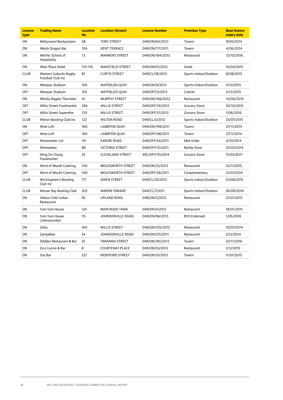| <b>Licence</b><br>type | <b>Trading Name</b>                        | <b>Location</b><br>No. | <b>Location (Street)</b> | <b>Licence Number</b> | <b>Premises Type</b>  | <b>Base licence</b><br>expiry date |
|------------------------|--------------------------------------------|------------------------|--------------------------|-----------------------|-----------------------|------------------------------------|
| ON                     | Wellywood Backpackers                      | 58                     | <b>TORY STREET</b>       | 049/0N/64/2013        | Tavern                | 9/05/2014                          |
| ON                     | Welsh Dragon Bar                           | <b>10A</b>             | <b>KENT TERRACE</b>      | 049/0N/117/2011       | Tavern                | 4/06/2014                          |
| ON                     | WelTec School of<br>Hospitality            | 73                     | <b>MANNERS STREET</b>    | 049/0N/184/2013       | Restaurant            | 12/10/2016                         |
| ON                     | West Plaza Hotel                           | 110-116                | <b>WAKEFIELD STREET</b>  | 049/0N/51/2012        | Hotel                 | 15/04/2015                         |
| <b>CLUB</b>            | Western Suburbs Rugby<br>Football Club Inc | 81                     | <b>CURTIS STREET</b>     | 049/CL/18/2012        | Sports Indoor/Outdoor | 8/08/2015                          |
| ON                     | Westpac Stadium                            | 105                    | WATERLOO QUAY            | 049/0N/9/2013         | Sports Indoor/Outdoor | 4/12/2015                          |
| <b>OFF</b>             | Westpac Stadium                            | 105                    | <b>WATERLOO QUAY</b>     | 049/0FF/3/2013        | Caterer               | 4/12/2015                          |
| ON                     | Wholly Bagels Thorndon                     | 41                     | <b>MURPHY STREET</b>     | 049/0N/106/2012       | Restaurant            | 10/06/2015                         |
| <b>OFF</b>             | Willis Street Foodmarket                   | 294                    | <b>WILLIS STREET</b>     | 049/0FF/19/2013       | <b>Grocery Store</b>  | 30/10/2015                         |
| OFF                    | Willis Street Superette                    | 219                    | <b>WILLIS STREET</b>     | 049/0FF/31/2013       | <b>Grocery Store</b>  | 1/06/2016                          |
| <b>CLUB</b>            | Wilton Bowling Club Inc                    | 122                    | <b>WILTON ROAD</b>       | 049/CL/3/2012         | Sports Indoor/Outdoor | 25/07/2015                         |
| ON                     | Wine Loft                                  | 160                    | <b>LAMBTON QUAY</b>      | 049/0N/199/2011       | Tavern                | 27/11/2014                         |
| <b>OFF</b>             | Wine Loft                                  | 160                    | <b>LAMBTON QUAY</b>      | 049/0FF/48/2011       | Tavern                | 27/11/2014                         |
| <b>OFF</b>             | Winemaster Ltd                             | 141                    | <b>KARORI ROAD</b>       | 049/0FF/54/2011       | Mail Order            | 4/10/2014                          |
| <b>OFF</b>             | Wineseeker                                 | 86                     | <b>VICTORIA STREET</b>   | 049/0FF/10/2011       | <b>Bottle Store</b>   | 23/03/2014                         |
| OFF                    | Wing On Chang<br>Foodmarket                | 25                     | <b>CLEVELAND STREET</b>  | 49C/OFF/70/2014       | <b>Grocery Store</b>  | 15/03/2017                         |
| ON                     | Word of Mouth Catering                     | 100                    | <b>MOLESWORTH STREET</b> | 049/0N/23/2013        | Restaurant            | 23/11/2015                         |
| OFF                    | Word of Mouth Catering                     | 100                    | <b>MOLESWORTH STREET</b> | 049/0FF/36/2011       | Complementary         | 21/07/2014                         |
| <b>CLUB</b>            | Workingmen's Bowling<br>Club Inc           | 177                    | <b>OWEN STREET</b>       | 049/CL/25/2012        | Sports Indoor/Outdoor | 31/08/2015                         |
| <b>CLUB</b>            | Worser Bay Boating Club                    | 202                    | <b>MARINE PARADE</b>     | 049/CL/7/2011         | Sports Indoor/Outdoor | 26/09/2014                         |
| ON                     | Yellow Chilli Indian<br>Restaurant         | 92                     | <b>UPLAND ROAD</b>       | 049/0N/5/2012         | Restaurant            | 21/01/2015                         |
| ON                     | Yum Yum House                              | 124                    | <b>MAIN ROAD TAWA</b>    | 049/0N/4/2012         | Restaurant            | 18/01/2015                         |
| ON                     | Yum Yum House<br>(Johnsonville)            | 70                     | JOHNSONVILLE ROAD        | 049/0N/96/2013        | <b>BYO Endorsed</b>   | 1/05/2016                          |
| <b>ON</b>              | Zaika                                      | 160                    | <b>WILLIS STREET</b>     | 049/0N/105/2013       | Restaurant            | 10/07/2014                         |
| ON                     | Zampelles                                  | 34                     | JOHNSONVILLE ROAD        | 049/0N/215/2011       | Restaurant            | 3/12/2014                          |
| ON                     | Zibibbo Restaurant & Bar                   | 25                     | <b>TARANAKI STREET</b>   | 049/0N/181/2013       | Tavern                | 22/11/2016                         |
| ON                     | Zico Cucina & Bar                          | 8                      | <b>COURTENAY PLACE</b>   | 049/0N/53/2013        | Restaurant            | 1/12/2015                          |
| ON                     | Zoo Bar                                    | 227                    | <b>RIDDIFORD STREET</b>  | 049/0N/10/2012        | Tavern                | 11/01/2015                         |